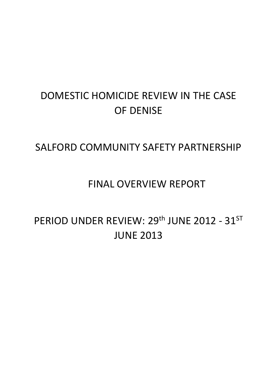# DOMESTIC HOMICIDE REVIEW IN THE CASE OF DENISE

# SALFORD COMMUNITY SAFETY PARTNERSHIP

# FINAL OVERVIEW REPORT

# PERIOD UNDER REVIEW: 29<sup>th</sup> JUNE 2012 - 31<sup>ST</sup> JUNE 2013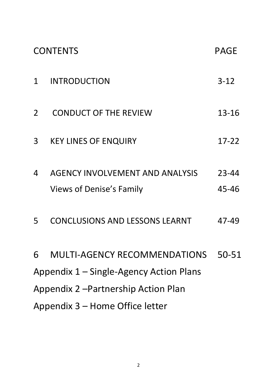| <b>CONTENTS</b>                         |                                                                           | PAGE           |  |
|-----------------------------------------|---------------------------------------------------------------------------|----------------|--|
| 1                                       | <b>INTRODUCTION</b>                                                       | $3 - 12$       |  |
| $\overline{2}$                          | <b>CONDUCT OF THE REVIEW</b>                                              | 13-16          |  |
| 3                                       | <b>KEY LINES OF ENQUIRY</b>                                               | $17 - 22$      |  |
| 4                                       | <b>AGENCY INVOLVEMENT AND ANALYSIS</b><br><b>Views of Denise's Family</b> | 23-44<br>45-46 |  |
| 5                                       | <b>CONCLUSIONS AND LESSONS LEARNT</b>                                     | 47-49          |  |
| 6                                       | <b>MULTI-AGENCY RECOMMENDATIONS</b>                                       | 50-51          |  |
| Appendix 1 – Single-Agency Action Plans |                                                                           |                |  |
| Appendix 2 - Partnership Action Plan    |                                                                           |                |  |
| Appendix 3 – Home Office letter         |                                                                           |                |  |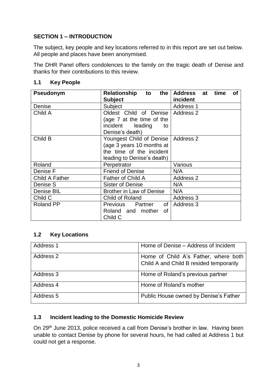# **SECTION 1 – INTRODUCTION**

The subject, key people and key locations referred to in this report are set out below. All people and places have been anonymised.

The DHR Panel offers condolences to the family on the tragic death of Denise and thanks for their contributions to this review.

| Pseudonym             | to the<br>Relationship<br><b>Subject</b>                                                                                    | time<br>Address at<br>Οf<br>incident |
|-----------------------|-----------------------------------------------------------------------------------------------------------------------------|--------------------------------------|
| Denise                | Subject                                                                                                                     | <b>Address 1</b>                     |
| Child A               | Oldest Child of Denise   Address 2<br>(age 7 at the time of the<br>incident leading<br>to<br>Denise's death)                |                                      |
| Child B               | Youngest Child of Denise   Address 2<br>(age 3 years 10 months at<br>the time of the incident<br>leading to Denise's death) |                                      |
| Roland                | Perpetrator                                                                                                                 | Various                              |
| Denise F              | <b>Friend of Denise</b>                                                                                                     | N/A                                  |
| <b>Child A Father</b> | Father of Child A                                                                                                           | Address 2                            |
| Denise S              | Sister of Denise                                                                                                            | N/A                                  |
| Denise BIL            | <b>Brother in Law of Denise</b>                                                                                             | N/A                                  |
| Child C               | Child of Roland                                                                                                             | Address 3                            |
| <b>Roland PP</b>      | Previous Partner of<br>Roland and mother<br>οf<br>Child C                                                                   | Address 3                            |

#### **1.1 Key People**

#### **1.2 Key Locations**

| Address 1 | Home of Denise – Address of Incident                                            |
|-----------|---------------------------------------------------------------------------------|
| Address 2 | Home of Child A's Father, where both<br>Child A and Child B resided temporarily |
| Address 3 | Home of Roland's previous partner                                               |
| Address 4 | Home of Roland's mother                                                         |
| Address 5 | Public House owned by Denise's Father                                           |

#### **1.3 Incident leading to the Domestic Homicide Review**

On 29<sup>th</sup> June 2013, police received a call from Denise's brother in law. Having been unable to contact Denise by phone for several hours, he had called at Address 1 but could not get a response.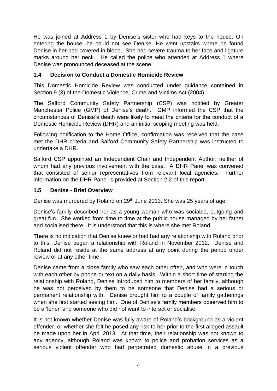He was joined at Address 1 by Denise's sister who had keys to the house. On entering the house, he could not see Denise. He went upstairs where he found Denise in her bed covered in blood. She had severe trauma to her face and ligature marks around her neck. He called the police who attended at Address 1 where Denise was pronounced deceased at the scene.

#### **1.4 Decision to Conduct a Domestic Homicide Review**

This Domestic Homicide Review was conducted under guidance contained in Section 9 (3) of the Domestic Violence, Crime and Victims Act (2004).

The Salford Community Safety Partnership (CSP) was notified by Greater Manchester Police (GMP) of Denise's death. GMP informed the CSP that the circumstances of Denise's death were likely to meet the criteria for the conduct of a Domestic Homicide Review (DHR) and an initial scoping meeting was held.

Following notification to the Home Office, confirmation was received that the case met the DHR criteria and Salford Community Safety Partnership was instructed to undertake a DHR.

Salford CSP appointed an Independent Chair and Independent Author, neither of whom had any previous involvement with the case. A DHR Panel was convened that consisted of senior representatives from relevant local agencies. Further information on the DHR Panel is provided at Section 2.2 of this report.

## **1.5 Denise - Brief Overview**

Denise was murdered by Roland on 29<sup>th</sup> June 2013. She was 25 years of age.

Denise's family described her as a young woman who was sociable, outgoing and great fun. She worked from time to time at the public house managed by her father and socialised there. It is understood that this is where she met Roland.

There is no indication that Denise knew or had had any relationship with Roland prior to this. Denise began a relationship with Roland in November 2012. Denise and Roland did not reside at the same address at any point during the period under review or at any other time.

Denise came from a close family who saw each other often, and who were in touch with each other by phone or text on a daily basis. Within a short time of starting the relationship with Roland, Denise introduced him to members of her family, although he was not perceived by them to be someone that Denise had a serious or permanent relationship with. Denise brought him to a couple of family gatherings when she first started seeing him. One of Denise's family members observed him to be a 'loner' and someone who did not want to interact or socialise.

It is not known whether Denise was fully aware of Roland's background as a violent offender, or whether she felt he posed any risk to her prior to the first alleged assault he made upon her in April 2013. At that time, their relationship was not known to any agency, although Roland was known to police and probation services as a serious violent offender who had perpetrated domestic abuse in a previous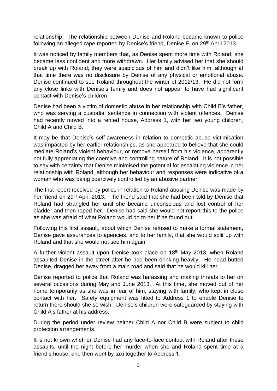relationship. The relationship between Denise and Roland became known to police following an alleged rape reported by Denise's friend, Denise F, on 29<sup>th</sup> April 2013.

It was noticed by family members that, as Denise spent more time with Roland, she became less confident and more withdrawn. Her family advised her that she should break up with Roland; they were suspicious of him and didn't like him, although at that time there was no disclosure by Denise of any physical or emotional abuse. Denise continued to see Roland throughout the winter of 2012/13. He did not form any close links with Denise's family and does not appear to have had significant contact with Denise's children.

Denise had been a victim of domestic abuse in her relationship with Child B's father, who was serving a custodial sentence in connection with violent offences. Denise had recently moved into a rented house, Address 1, with her two young children, Child A and Child B.

It may be that Denise's self-awareness in relation to domestic abuse victimisation was impacted by her earlier relationships, as she appeared to believe that she could mediate Roland's violent behaviour, or remove herself from his violence, apparently not fully appreciating the coercive and controlling nature of Roland. It is not possible to say with certainty that Denise minimised the potential for escalating violence in her relationship with Roland, although her behaviour and responses were indicative of a woman who was being coercively controlled by an abusive partner.

The first report received by police in relation to Roland abusing Denise was made by her friend on 29th April 2013. The friend said that she had been told by Denise that Roland had strangled her until she became unconscious and lost control of her bladder and then raped her. Denise had said she would not report this to the police as she was afraid of what Roland would do to her if he found out.

Following this first assault, about which Denise refused to make a formal statement, Denise gave assurances to agencies, and to her family, that she would split up with Roland and that she would not see him again.

A further violent assault upon Denise took place on 18<sup>th</sup> May 2013, when Roland assaulted Denise in the street after he had been drinking heavily. He head-butted Denise, dragged her away from a main road and said that he would kill her.

Denise reported to police that Roland was harassing and making threats to her on several occasions during May and June 2013. At this time, she moved out of her home temporarily as she was in fear of him, staying with family, who kept in close contact with her. Safety equipment was fitted to Address 1 to enable Denise to return there should she so wish. Denise's children were safeguarded by staying with Child A's father at his address.

During the period under review neither Child A nor Child B were subject to child protection arrangements.

It is not known whether Denise had any face-to-face contact with Roland after these assaults, until the night before her murder when she and Roland spent time at a friend's house, and then went by taxi together to Address 1.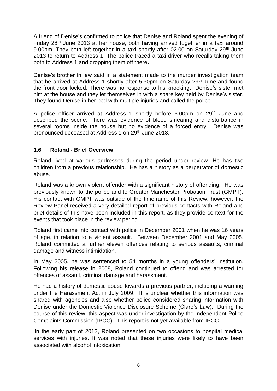A friend of Denise's confirmed to police that Denise and Roland spent the evening of Friday 28<sup>th</sup> June 2013 at her house, both having arrived together in a taxi around 9.00pm. They both left together in a taxi shortly after 02.00 on Saturday 29<sup>th</sup> June 2013 to return to Address 1. The police traced a taxi driver who recalls taking them both to Address 1 and dropping them off there**.**

Denise's brother in law said in a statement made to the murder investigation team that he arrived at Address 1 shortly after 5.30pm on Saturday 29<sup>th</sup> June and found the front door locked. There was no response to his knocking. Denise's sister met him at the house and they let themselves in with a spare key held by Denise's sister. They found Denise in her bed with multiple injuries and called the police.

A police officer arrived at Address 1 shortly before 6.00pm on 29<sup>th</sup> June and described the scene. There was evidence of blood smearing and disturbance in several rooms inside the house but no evidence of a forced entry. Denise was pronounced deceased at Address 1 on 29th June 2013.

#### **1.6 Roland - Brief Overview**

Roland lived at various addresses during the period under review. He has two children from a previous relationship. He has a history as a perpetrator of domestic abuse.

Roland was a known violent offender with a significant history of offending. He was previously known to the police and to Greater Manchester Probation Trust (GMPT). His contact with GMPT was outside of the timeframe of this Review, however, the Review Panel received a very detailed report of previous contacts with Roland and brief details of this have been included in this report, as they provide context for the events that took place in the review period.

Roland first came into contact with police in December 2001 when he was 16 years of age, in relation to a violent assault. Between December 2001 and May 2005, Roland committed a further eleven offences relating to serious assaults, criminal damage and witness intimidation.

In May 2005, he was sentenced to 54 months in a young offenders' institution. Following his release in 2008, Roland continued to offend and was arrested for offences of assault, criminal damage and harassment.

He had a history of domestic abuse towards a previous partner, including a warning under the Harassment Act in July 2009. It is unclear whether this information was shared with agencies and also whether police considered sharing information with Denise under the Domestic Violence Disclosure Scheme (Clare's Law). During the course of this review, this aspect was under investigation by the Independent Police Complaints Commission (IPCC). This report is not yet available from IPCC.

In the early part of 2012, Roland presented on two occasions to hospital medical services with injuries. It was noted that these injuries were likely to have been associated with alcohol intoxication.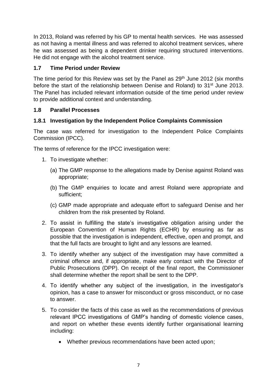In 2013, Roland was referred by his GP to mental health services. He was assessed as not having a mental illness and was referred to alcohol treatment services, where he was assessed as being a dependent drinker requiring structured interventions. He did not engage with the alcohol treatment service.

# **1.7 Time Period under Review**

The time period for this Review was set by the Panel as 29<sup>th</sup> June 2012 (six months before the start of the relationship between Denise and Roland) to 31<sup>st</sup> June 2013. The Panel has included relevant information outside of the time period under review to provide additional context and understanding.

# **1.8 Parallel Processes**

# **1.8.1 Investigation by the Independent Police Complaints Commission**

The case was referred for investigation to the Independent Police Complaints Commission (IPCC).

The terms of reference for the IPCC investigation were:

- 1. To investigate whether:
	- (a) The GMP response to the allegations made by Denise against Roland was appropriate;
	- (b) The GMP enquiries to locate and arrest Roland were appropriate and sufficient;
	- (c) GMP made appropriate and adequate effort to safeguard Denise and her children from the risk presented by Roland.
- 2. To assist in fulfilling the state's investigative obligation arising under the European Convention of Human Rights (ECHR) by ensuring as far as possible that the investigation is independent, effective, open and prompt, and that the full facts are brought to light and any lessons are learned.
- 3. To identify whether any subject of the investigation may have committed a criminal offence and, if appropriate, make early contact with the Director of Public Prosecutions (DPP). On receipt of the final report, the Commissioner shall determine whether the report shall be sent to the DPP.
- 4. To identify whether any subject of the investigation, in the investigator's opinion, has a case to answer for misconduct or gross misconduct, or no case to answer.
- 5. To consider the facts of this case as well as the recommendations of previous relevant IPCC investigations of GMP's handing of domestic violence cases, and report on whether these events identify further organisational learning including:
	- Whether previous recommendations have been acted upon;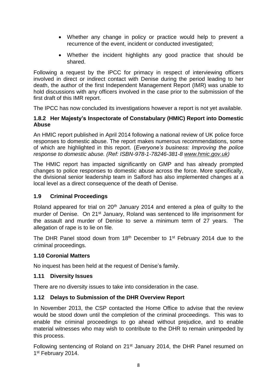- Whether any change in policy or practice would help to prevent a recurrence of the event, incident or conducted investigated;
- Whether the incident highlights any good practice that should be shared.

Following a request by the IPCC for primacy in respect of interviewing officers involved in direct or indirect contact with Denise during the period leading to her death, the author of the first Independent Management Report (IMR) was unable to hold discussions with any officers involved in the case prior to the submission of the first draft of this IMR report.

The IPCC has now concluded its investigations however a report is not yet available.

#### **1.8.2 Her Majesty's Inspectorate of Constabulary (HMIC) Report into Domestic Abuse**

An HMIC report published in April 2014 following a national review of UK police force responses to domestic abuse. The report makes numerous recommendations, some of which are highlighted in this report. (*Everyone's business: Improving the police response to domestic abuse. (Ref: ISBN-978-1-78246-381-8 [www.hmic.gov.uk\)](http://www.hmic.gov.uk/)*

The HMIC report has impacted significantly on GMP and has already prompted changes to police responses to domestic abuse across the force. More specifically, the divisional senior leadership team in Salford has also implemented changes at a local level as a direct consequence of the death of Denise.

#### **1.9 Criminal Proceedings**

Roland appeared for trial on  $20<sup>th</sup>$  January 2014 and entered a plea of guilty to the murder of Denise. On 21<sup>st</sup> January, Roland was sentenced to life imprisonment for the assault and murder of Denise to serve a minimum term of 27 years. The allegation of rape is to lie on file.

The DHR Panel stood down from 18<sup>th</sup> December to 1<sup>st</sup> February 2014 due to the criminal proceedings.

#### **1.10 Coronial Matters**

No inquest has been held at the request of Denise's family.

#### **1.11 Diversity Issues**

There are no diversity issues to take into consideration in the case.

#### **1.12 Delays to Submission of the DHR Overview Report**

In November 2013, the CSP contacted the Home Office to advise that the review would be stood down until the completion of the criminal proceedings. This was to enable the criminal proceedings to go ahead without prejudice, and to enable material witnesses who may wish to contribute to the DHR to remain unimpeded by this process.

Following sentencing of Roland on 21<sup>st</sup> January 2014, the DHR Panel resumed on 1st February 2014.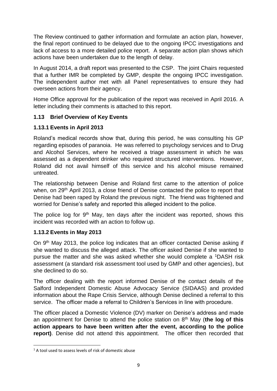The Review continued to gather information and formulate an action plan, however, the final report continued to be delayed due to the ongoing IPCC investigations and lack of access to a more detailed police report. A separate action plan shows which actions have been undertaken due to the length of delay.

In August 2014, a draft report was presented to the CSP. The joint Chairs requested that a further IMR be completed by GMP, despite the ongoing IPCC investigation. The independent author met with all Panel representatives to ensure they had overseen actions from their agency.

Home Office approval for the publication of the report was received in April 2016. A letter including their comments is attached to this report.

#### **1.13 Brief Overview of Key Events**

## **1.13.1 Events in April 2013**

Roland's medical records show that, during this period, he was consulting his GP regarding episodes of paranoia. He was referred to psychology services and to Drug and Alcohol Services, where he received a triage assessment in which he was assessed as a dependent drinker who required structured interventions. However, Roland did not avail himself of this service and his alcohol misuse remained untreated.

The relationship between Denise and Roland first came to the attention of police when, on 29<sup>th</sup> April 2013, a close friend of Denise contacted the police to report that Denise had been raped by Roland the previous night. The friend was frightened and worried for Denise's safety and reported this alleged incident to the police.

The police log for 9<sup>th</sup> May, ten days after the incident was reported, shows this incident was recorded with an action to follow up.

#### **1.13.2 Events in May 2013**

On 9<sup>th</sup> May 2013, the police log indicates that an officer contacted Denise asking if she wanted to discuss the alleged attack. The officer asked Denise if she wanted to pursue the matter and she was asked whether she would complete a <sup>1</sup>DASH risk assessment (a standard risk assessment tool used by GMP and other agencies), but she declined to do so.

The officer dealing with the report informed Denise of the contact details of the Salford Independent Domestic Abuse Advocacy Service (SIDAAS) and provided information about the Rape Crisis Service, although Denise declined a referral to this service. The officer made a referral to Children's Services in line with procedure.

The officer placed a Domestic Violence (DV) marker on Denise's address and made an appointment for Denise to attend the police station on 8th May (**the log of this action appears to have been written after the event, according to the police report)**. Denise did not attend this appointment. The officer then recorded that

**<sup>.</sup>**  $1$  A tool used to assess levels of risk of domestic abuse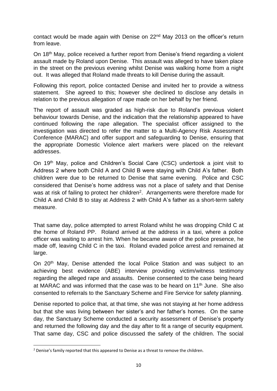contact would be made again with Denise on 22nd May 2013 on the officer's return from leave.

On 18th May, police received a further report from Denise's friend regarding a violent assault made by Roland upon Denise. This assault was alleged to have taken place in the street on the previous evening whilst Denise was walking home from a night out. It was alleged that Roland made threats to kill Denise during the assault.

Following this report, police contacted Denise and invited her to provide a witness statement. She agreed to this; however she declined to disclose any details in relation to the previous allegation of rape made on her behalf by her friend.

The report of assault was graded as high-risk due to Roland's previous violent behaviour towards Denise, and the indication that the relationship appeared to have continued following the rape allegation. The specialist officer assigned to the investigation was directed to refer the matter to a Multi-Agency Risk Assessment Conference (MARAC) and offer support and safeguarding to Denise, ensuring that the appropriate Domestic Violence alert markers were placed on the relevant addresses.

On 19th May, police and Children's Social Care (CSC) undertook a joint visit to Address 2 where both Child A and Child B were staying with Child A's father. Both children were due to be returned to Denise that same evening. Police and CSC considered that Denise's home address was not a place of safety and that Denise was at risk of failing to protect her children<sup>2</sup>. Arrangements were therefore made for Child A and Child B to stay at Address 2 with Child A's father as a short-term safety measure.

That same day, police attempted to arrest Roland whilst he was dropping Child C at the home of Roland PP. Roland arrived at the address in a taxi, where a police officer was waiting to arrest him. When he became aware of the police presence, he made off, leaving Child C in the taxi. Roland evaded police arrest and remained at large.

On 20<sup>th</sup> May, Denise attended the local Police Station and was subject to an achieving best evidence (ABE) interview providing victim/witness testimony regarding the alleged rape and assaults. Denise consented to the case being heard at MARAC and was informed that the case was to be heard on 11<sup>th</sup> June. She also consented to referrals to the Sanctuary Scheme and Fire Service for safety planning.

Denise reported to police that, at that time, she was not staying at her home address but that she was living between her sister's and her father's homes. On the same day, the Sanctuary Scheme conducted a security assessment of Denise's property and returned the following day and the day after to fit a range of security equipment. That same day, CSC and police discussed the safety of the children. The social

**<sup>.</sup>**  $<sup>2</sup>$  Denise's family reported that this appeared to Denise as a threat to remove the children.</sup>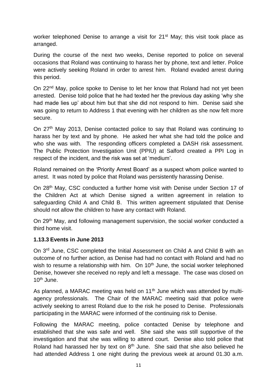worker telephoned Denise to arrange a visit for  $21<sup>st</sup>$  May; this visit took place as arranged.

During the course of the next two weeks, Denise reported to police on several occasions that Roland was continuing to harass her by phone, text and letter. Police were actively seeking Roland in order to arrest him. Roland evaded arrest during this period.

On 22<sup>nd</sup> May, police spoke to Denise to let her know that Roland had not yet been arrested. Denise told police that he had texted her the previous day asking 'why she had made lies up' about him but that she did not respond to him. Denise said she was going to return to Address 1 that evening with her children as she now felt more secure.

On 27th May 2013, Denise contacted police to say that Roland was continuing to harass her by text and by phone. He asked her what she had told the police and who she was with. The responding officers completed a DASH risk assessment. The Public Protection Investigation Unit (PPIU) at Salford created a PPI Log in respect of the incident, and the risk was set at 'medium'.

Roland remained on the 'Priority Arrest Board' as a suspect whom police wanted to arrest. It was noted by police that Roland was persistently harassing Denise.

On 28th May, CSC conducted a further home visit with Denise under Section 17 of the Children Act at which Denise signed a written agreement in relation to safeguarding Child A and Child B. This written agreement stipulated that Denise should not allow the children to have any contact with Roland.

On 29th May, and following management supervision, the social worker conducted a third home visit.

#### **1.13.3 Events in June 2013**

On 3rd June, CSC completed the Initial Assessment on Child A and Child B with an outcome of no further action, as Denise had had no contact with Roland and had no wish to resume a relationship with him. On  $10<sup>th</sup>$  June, the social worker telephoned Denise, however she received no reply and left a message. The case was closed on  $10^{th}$  June.

As planned, a MARAC meeting was held on  $11<sup>th</sup>$  June which was attended by multiagency professionals. The Chair of the MARAC meeting said that police were actively seeking to arrest Roland due to the risk he posed to Denise. Professionals participating in the MARAC were informed of the continuing risk to Denise.

Following the MARAC meeting, police contacted Denise by telephone and established that she was safe and well. She said she was still supportive of the investigation and that she was willing to attend court. Denise also told police that Roland had harassed her by text on  $8<sup>th</sup>$  June. She said that she also believed he had attended Address 1 one night during the previous week at around 01.30 a.m.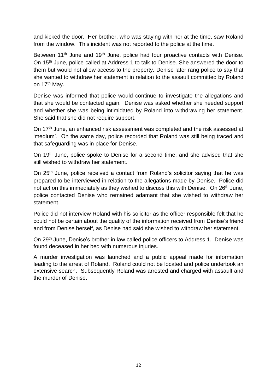and kicked the door. Her brother, who was staying with her at the time, saw Roland from the window. This incident was not reported to the police at the time.

Between 11<sup>th</sup> June and 19<sup>th</sup> June, police had four proactive contacts with Denise. On 15th June, police called at Address 1 to talk to Denise. She answered the door to them but would not allow access to the property. Denise later rang police to say that she wanted to withdraw her statement in relation to the assault committed by Roland on 17<sup>th</sup> May.

Denise was informed that police would continue to investigate the allegations and that she would be contacted again. Denise was asked whether she needed support and whether she was being intimidated by Roland into withdrawing her statement. She said that she did not require support.

On 17<sup>th</sup> June, an enhanced risk assessment was completed and the risk assessed at 'medium'. On the same day, police recorded that Roland was still being traced and that safeguarding was in place for Denise.

On 19th June, police spoke to Denise for a second time, and she advised that she still wished to withdraw her statement.

On 25<sup>th</sup> June, police received a contact from Roland's solicitor saying that he was prepared to be interviewed in relation to the allegations made by Denise. Police did not act on this immediately as they wished to discuss this with Denise. On 26<sup>th</sup> June, police contacted Denise who remained adamant that she wished to withdraw her statement.

Police did not interview Roland with his solicitor as the officer responsible felt that he could not be certain about the quality of the information received from Denise's friend and from Denise herself, as Denise had said she wished to withdraw her statement.

On 29<sup>th</sup> June, Denise's brother in law called police officers to Address 1. Denise was found deceased in her bed with numerous injuries.

A murder investigation was launched and a public appeal made for information leading to the arrest of Roland. Roland could not be located and police undertook an extensive search. Subsequently Roland was arrested and charged with assault and the murder of Denise.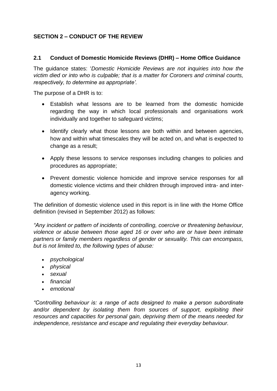# **SECTION 2 – CONDUCT OF THE REVIEW**

#### **2.1 Conduct of Domestic Homicide Reviews (DHR) – Home Office Guidance**

The guidance states: '*Domestic Homicide Reviews are not inquiries into how the victim died or into who is culpable; that is a matter for Coroners and criminal courts, respectively, to determine as appropriate'.*

The purpose of a DHR is to:

- Establish what lessons are to be learned from the domestic homicide regarding the way in which local professionals and organisations work individually and together to safeguard victims;
- Identify clearly what those lessons are both within and between agencies, how and within what timescales they will be acted on, and what is expected to change as a result;
- Apply these lessons to service responses including changes to policies and procedures as appropriate;
- Prevent domestic violence homicide and improve service responses for all domestic violence victims and their children through improved intra- and interagency working.

The definition of domestic violence used in this report is in line with the Home Office definition (revised in September 2012) as follows:

*"Any incident or pattern of incidents of controlling, coercive or threatening behaviour, violence or abuse between those aged 16 or over who are or have been intimate partners or family members regardless of gender or sexuality. This can encompass, but is not limited to, the following types of abuse:* 

- *psychological*
- *physical*
- *sexual*
- *financial*
- *emotional*

*"Controlling behaviour is: a range of acts designed to make a person subordinate*  and/or dependent by isolating them from sources of support, exploiting their *resources and capacities for personal gain, depriving them of the means needed for independence, resistance and escape and regulating their everyday behaviour.*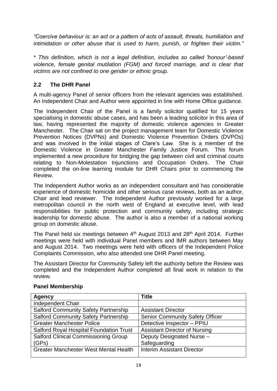*"Coercive behaviour is: an act or a pattern of acts of assault, threats, humiliation and intimidation or other abuse that is used to harm, punish, or frighten their victim."*

*\* This definition, which is not a legal definition, includes so called 'honour'-based violence, female genital mutilation (FGM) and forced marriage, and is clear that victims are not confined to one gender or ethnic group.*

# **2.2 The DHR Panel**

A multi-agency Panel of senior officers from the relevant agencies was established. An Independent Chair and Author were appointed in line with Home Office guidance.

The Independent Chair of the Panel is a family solicitor qualified for 15 years specialising in domestic abuse cases, and has been a leading solicitor in this area of law, having represented the majority of domestic violence agencies in Greater Manchester. The Chair sat on the project management team for Domestic Violence Prevention Notices (DVPNs) and Domestic Violence Prevention Orders (DVPOs) and was involved in the initial stages of Clare's Law. She is a member of the Domestic Violence in Greater Manchester Family Justice Forum. This forum implemented a new procedure for bridging the gap between civil and criminal courts relating to Non-Molestation Injunctions and Occupation Orders. The Chair completed the on-line learning module for DHR Chairs prior to commencing the Review.

The Independent Author works as an independent consultant and has considerable experience of domestic homicide and other serious case reviews, both as an author, Chair and lead reviewer. The Independent Author previously worked for a large metropolitan council in the north west of England at executive level, with lead responsibilities for public protection and community safety, including strategic leadership for domestic abuse. The author is also a member of a national working group on domestic abuse.

The Panel held six meetings between 4<sup>th</sup> August 2013 and 28<sup>th</sup> April 2014. Further meetings were held with individual Panel members and IMR authors between May and August 2014. Two meetings were held with officers of the Independent Police Complaints Commission, who also attended one DHR Panel meeting.

The Assistant Director for Community Safety left the authority before the Review was completed and the Independent Author completed all final work in relation to the review.

| <b>Agency</b>                                  | <b>Title</b>                           |
|------------------------------------------------|----------------------------------------|
| Independent Chair                              |                                        |
| <b>Salford Community Safety Partnership</b>    | <b>Assistant Director</b>              |
| <b>Salford Community Safety Partnership</b>    | <b>Senior Community Safety Officer</b> |
| <b>Greater Manchester Police</b>               | Detective Inspector - PPIU             |
| <b>Salford Royal Hospital Foundation Trust</b> | <b>Assistant Director of Nursing</b>   |
| Salford Clinical Commissioning Group           | Deputy Designated Nurse -              |
| (GPs)                                          | Safeguarding                           |
| <b>Greater Manchester West Mental Health</b>   | <b>Interim Assistant Director</b>      |
|                                                |                                        |

#### **Panel Membership**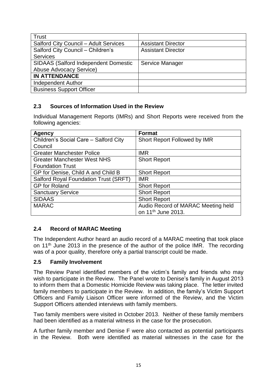| Trust                                       |                           |
|---------------------------------------------|---------------------------|
| Salford City Council - Adult Services       | <b>Assistant Director</b> |
| Salford City Council - Children's           | <b>Assistant Director</b> |
| <b>Services</b>                             |                           |
| <b>SIDAAS (Salford Independent Domestic</b> | Service Manager           |
| Abuse Advocacy Service)                     |                           |
| <b>IN ATTENDANCE</b>                        |                           |
| <b>Independent Author</b>                   |                           |
| <b>Business Support Officer</b>             |                           |

#### **2.3 Sources of Information Used in the Review**

Individual Management Reports (IMRs) and Short Reports were received from the following agencies:

| <b>Agency</b>                         | <b>Format</b>                      |
|---------------------------------------|------------------------------------|
| Children's Social Care - Salford City | Short Report Followed by IMR       |
| Council                               |                                    |
| <b>Greater Manchester Police</b>      | <b>IMR</b>                         |
| <b>Greater Manchester West NHS</b>    | <b>Short Report</b>                |
| <b>Foundation Trust</b>               |                                    |
| GP for Denise, Child A and Child B    | <b>Short Report</b>                |
| Salford Royal Foundation Trust (SRFT) | <b>IMR</b>                         |
| <b>GP</b> for Roland                  | <b>Short Report</b>                |
| <b>Sanctuary Service</b>              | <b>Short Report</b>                |
| <b>SIDAAS</b>                         | <b>Short Report</b>                |
| <b>MARAC</b>                          | Audio Record of MARAC Meeting held |
|                                       | on 11 <sup>th</sup> June 2013.     |

#### **2.4 Record of MARAC Meeting**

The Independent Author heard an audio record of a MARAC meeting that took place on 11<sup>th</sup> June 2013 in the presence of the author of the police IMR. The recording was of a poor quality, therefore only a partial transcript could be made.

#### **2.5 Family Involvement**

The Review Panel identified members of the victim's family and friends who may wish to participate in the Review. The Panel wrote to Denise's family in August 2013 to inform them that a Domestic Homicide Review was taking place. The letter invited family members to participate in the Review. In addition, the family's Victim Support Officers and Family Liaison Officer were informed of the Review, and the Victim Support Officers attended interviews with family members.

Two family members were visited in October 2013. Neither of these family members had been identified as a material witness in the case for the prosecution.

A further family member and Denise F were also contacted as potential participants in the Review. Both were identified as material witnesses in the case for the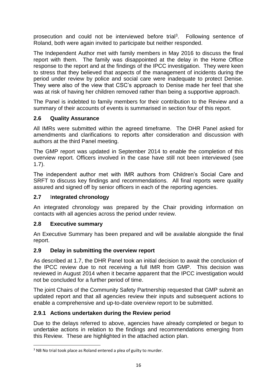prosecution and could not be interviewed before trial<sup>3</sup>. Following sentence of Roland, both were again invited to participate but neither responded.

The Independent Author met with family members in May 2016 to discuss the final report with them. The family was disappointed at the delay in the Home Office response to the report and at the findings of the IPCC investigation. They were keen to stress that they believed that aspects of the management of incidents during the period under review by police and social care were inadequate to protect Denise. They were also of the view that CSC's approach to Denise made her feel that she was at risk of having her children removed rather than being a supportive approach.

The Panel is indebted to family members for their contribution to the Review and a summary of their accounts of events is summarised in section four of this report.

## **2.6 Quality Assurance**

All IMRs were submitted within the agreed timeframe. The DHR Panel asked for amendments and clarifications to reports after consideration and discussion with authors at the third Panel meeting.

The GMP report was updated in September 2014 to enable the completion of this overview report. Officers involved in the case have still not been interviewed (see 1.7).

The independent author met with IMR authors from Children's Social Care and SRFT to discuss key findings and recommendations. All final reports were quality assured and signed off by senior officers in each of the reporting agencies.

#### **2.7** I**ntegrated chronology**

An integrated chronology was prepared by the Chair providing information on contacts with all agencies across the period under review.

#### **2.8 Executive summary**

An Executive Summary has been prepared and will be available alongside the final report.

# **2.9 Delay in submitting the overview report**

As described at 1.7, the DHR Panel took an initial decision to await the conclusion of the IPCC review due to not receiving a full IMR from GMP. This decision was reviewed in August 2014 when it became apparent that the IPCC investigation would not be concluded for a further period of time.

The joint Chairs of the Community Safety Partnership requested that GMP submit an updated report and that all agencies review their inputs and subsequent actions to enable a comprehensive and up-to-date overview report to be submitted.

# **2.9.1 Actions undertaken during the Review period**

Due to the delays referred to above, agencies have already completed or begun to undertake actions in relation to the findings and recommendations emerging from this Review. These are highlighted in the attached action plan.

**<sup>.</sup>** <sup>3</sup> NB No trial took place as Roland entered a plea of guilty to murder.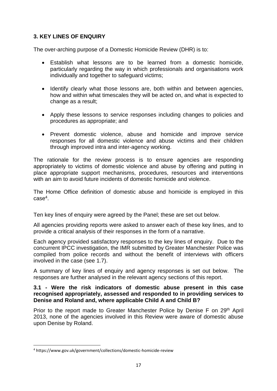## **3. KEY LINES OF ENQUIRY**

The over-arching purpose of a Domestic Homicide Review (DHR) is to:

- Establish what lessons are to be learned from a domestic homicide, particularly regarding the way in which professionals and organisations work individually and together to safeguard victims:
- Identify clearly what those lessons are, both within and between agencies, how and within what timescales they will be acted on, and what is expected to change as a result;
- Apply these lessons to service responses including changes to policies and procedures as appropriate; and
- Prevent domestic violence, abuse and homicide and improve service responses for all domestic violence and abuse victims and their children through improved intra and inter-agency working.

The rationale for the review process is to ensure agencies are responding appropriately to victims of domestic violence and abuse by offering and putting in place appropriate support mechanisms, procedures, resources and interventions with an aim to avoid future incidents of domestic homicide and violence.

The Home Office definition of domestic abuse and homicide is employed in this case<sup>4</sup> .

Ten key lines of enquiry were agreed by the Panel; these are set out below.

All agencies providing reports were asked to answer each of these key lines, and to provide a critical analysis of their responses in the form of a narrative.

Each agency provided satisfactory responses to the key lines of enquiry. Due to the concurrent IPCC investigation, the IMR submitted by Greater Manchester Police was compiled from police records and without the benefit of interviews with officers involved in the case (see 1.7).

A summary of key lines of enquiry and agency responses is set out below. The responses are further analysed in the relevant agency sections of this report.

#### **3.1 - Were the risk indicators of domestic abuse present in this case recognised appropriately, assessed and responded to in providing services to Denise and Roland and, where applicable Child A and Child B?**

Prior to the report made to Greater Manchester Police by Denise F on 29<sup>th</sup> April 2013, none of the agencies involved in this Review were aware of domestic abuse upon Denise by Roland.

**<sup>.</sup>** 4 https://www.gov.uk/government/collections/domestic-homicide-review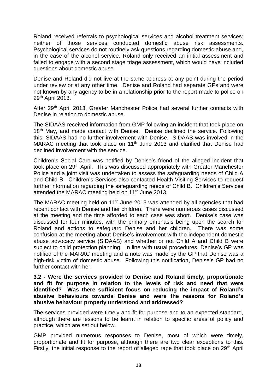Roland received referrals to psychological services and alcohol treatment services; neither of those services conducted domestic abuse risk assessments. Psychological services do not routinely ask questions regarding domestic abuse and, in the case of the alcohol service, Roland only received an initial assessment and failed to engage with a second stage triage assessment, which would have included questions about domestic abuse.

Denise and Roland did not live at the same address at any point during the period under review or at any other time. Denise and Roland had separate GPs and were not known by any agency to be in a relationship prior to the report made to police on 29th April 2013.

After 29<sup>th</sup> April 2013, Greater Manchester Police had several further contacts with Denise in relation to domestic abuse.

The SIDAAS received information from GMP following an incident that took place on 18<sup>th</sup> May, and made contact with Denise. Denise declined the service. Following this, SIDAAS had no further involvement with Denise. SIDAAS was involved in the MARAC meeting that took place on 11<sup>th</sup> June 2013 and clarified that Denise had declined involvement with the service.

Children's Social Care was notified by Denise's friend of the alleged incident that took place on 29<sup>th</sup> April. This was discussed appropriately with Greater Manchester Police and a joint visit was undertaken to assess the safeguarding needs of Child A and Child B. Children's Services also contacted Health Visiting Services to request further information regarding the safeguarding needs of Child B. Children's Services attended the MARAC meeting held on 11<sup>th</sup> June 2013.

The MARAC meeting held on 11<sup>th</sup> June 2013 was attended by all agencies that had recent contact with Denise and her children. There were numerous cases discussed at the meeting and the time afforded to each case was short. Denise's case was discussed for four minutes, with the primary emphasis being upon the search for Roland and actions to safeguard Denise and her children. There was some confusion at the meeting about Denise's involvement with the independent domestic abuse advocacy service (SIDAAS) and whether or not Child A and Child B were subject to child protection planning. In line with usual procedures, Denise's GP was notified of the MARAC meeting and a note was made by the GP that Denise was a high-risk victim of domestic abuse. Following this notification, Denise's GP had no further contact with her.

**3.2 - Were the services provided to Denise and Roland timely, proportionate and fit for purpose in relation to the levels of risk and need that were identified? Was there sufficient focus on reducing the impact of Roland's abusive behaviours towards Denise and were the reasons for Roland's abusive behaviour properly understood and addressed?**

The services provided were timely and fit for purpose and to an expected standard, although there are lessons to be learnt in relation to specific areas of policy and practice, which are set out below.

GMP provided numerous responses to Denise, most of which were timely, proportionate and fit for purpose, although there are two clear exceptions to this. Firstly, the initial response to the report of alleged rape that took place on 29<sup>th</sup> April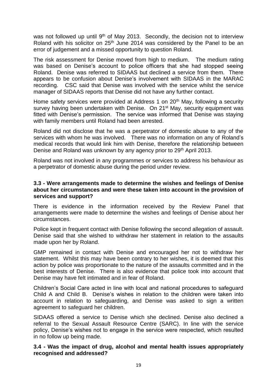was not followed up until  $9<sup>th</sup>$  of May 2013. Secondly, the decision not to interview Roland with his solicitor on 25<sup>th</sup> June 2014 was considered by the Panel to be an error of judgement and a missed opportunity to question Roland.

The risk assessment for Denise moved from high to medium. The medium rating was based on Denise's account to police officers that she had stopped seeing Roland. Denise was referred to SIDAAS but declined a service from them. There appears to be confusion about Denise's involvement with SIDAAS in the MARAC recording. CSC said that Denise was involved with the service whilst the service manager of SIDAAS reports that Denise did not have any further contact.

Home safety services were provided at Address 1 on 20<sup>th</sup> May, following a security survey having been undertaken with Denise. On 21<sup>st</sup> May, security equipment was fitted with Denise's permission. The service was informed that Denise was staying with family members until Roland had been arrested.

Roland did not disclose that he was a perpetrator of domestic abuse to any of the services with whom he was involved. There was no information on any of Roland's medical records that would link him with Denise, therefore the relationship between Denise and Roland was unknown by any agency prior to 29<sup>th</sup> April 2013.

Roland was not involved in any programmes or services to address his behaviour as a perpetrator of domestic abuse during the period under review.

#### **3.3 - Were arrangements made to determine the wishes and feelings of Denise about her circumstances and were these taken into account in the provision of services and support?**

There is evidence in the information received by the Review Panel that arrangements were made to determine the wishes and feelings of Denise about her circumstances.

Police kept in frequent contact with Denise following the second allegation of assault. Denise said that she wished to withdraw her statement in relation to the assaults made upon her by Roland.

GMP remained in contact with Denise and encouraged her not to withdraw her statement. Whilst this may have been contrary to her wishes, it is deemed that this action by police was proportionate to the nature of the assaults committed and in the best interests of Denise. There is also evidence that police took into account that Denise may have felt intimated and in fear of Roland.

Children's Social Care acted in line with local and national procedures to safeguard Child A and Child B. Denise's wishes in relation to the children were taken into account in relation to safeguarding, and Denise was asked to sign a written agreement to safeguard her children.

SIDAAS offered a service to Denise which she declined. Denise also declined a referral to the Sexual Assault Resource Centre (SARC). In line with the service policy, Denise's wishes not to engage in the service were respected, which resulted in no follow up being made.

#### **3.4 - Was the impact of drug, alcohol and mental health issues appropriately recognised and addressed?**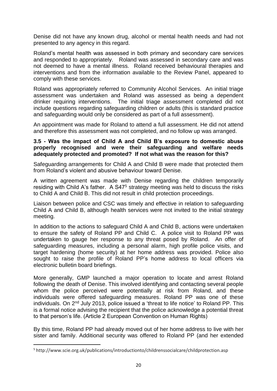Denise did not have any known drug, alcohol or mental health needs and had not presented to any agency in this regard.

Roland's mental health was assessed in both primary and secondary care services and responded to appropriately. Roland was assessed in secondary care and was not deemed to have a mental illness. Roland received behavioural therapies and interventions and from the information available to the Review Panel, appeared to comply with these services.

Roland was appropriately referred to Community Alcohol Services. An initial triage assessment was undertaken and Roland was assessed as being a dependent drinker requiring interventions. The initial triage assessment completed did not include questions regarding safeguarding children or adults (this is standard practice and safeguarding would only be considered as part of a full assessment).

An appointment was made for Roland to attend a full assessment. He did not attend and therefore this assessment was not completed, and no follow up was arranged.

#### **3.5 - Was the impact of Child A and Child B's exposure to domestic abuse properly recognised and were their safeguarding and welfare needs adequately protected and promoted? If not what was the reason for this?**

Safeguarding arrangements for Child A and Child B were made that protected them from Roland's violent and abusive behaviour toward Denise.

A written agreement was made with Denise regarding the children temporarily residing with Child A's father. A S47<sup>5</sup> strategy meeting was held to discuss the risks to Child A and Child B. This did not result in child protection proceedings.

Liaison between police and CSC was timely and effective in relation to safeguarding Child A and Child B, although health services were not invited to the initial strategy meeting.

In addition to the actions to safeguard Child A and Child B, actions were undertaken to ensure the safety of Roland PP and Child C. A police visit to Roland PP was undertaken to gauge her response to any threat posed by Roland. An offer of safeguarding measures, including a personal alarm, high profile police visits, and target hardening (home security) at her home address was provided. Police also sought to raise the profile of Roland PP's home address to local officers via electronic bulletin board briefings.

More generally, GMP launched a major operation to locate and arrest Roland following the death of Denise. This involved identifying and contacting several people whom the police perceived were potentially at risk from Roland, and these individuals were offered safeguarding measures. Roland PP was one of these individuals. On 2nd July 2013, police issued a 'threat to life notice' to Roland PP. This is a formal notice advising the recipient that the police acknowledge a potential threat to that person's life. (Article 2 European Convention on Human Rights)

By this time, Roland PP had already moved out of her home address to live with her sister and family. Additional security was offered to Roland PP (and her extended

 $\overline{a}$ 

<sup>5</sup> http://www.scie.org.uk/publications/introductionto/childrenssocialcare/childprotection.asp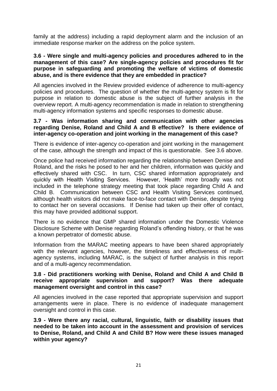family at the address) including a rapid deployment alarm and the inclusion of an immediate response marker on the address on the police system.

#### **3.6 - Were single and multi-agency policies and procedures adhered to in the management of this case? Are single-agency policies and procedures fit for purpose in safeguarding and promoting the welfare of victims of domestic abuse, and is there evidence that they are embedded in practice?**

All agencies involved in the Review provided evidence of adherence to multi-agency policies and procedures. The question of whether the multi-agency system is fit for purpose in relation to domestic abuse is the subject of further analysis in the overview report. A multi-agency recommendation is made in relation to strengthening multi-agency information systems and specific responses to domestic abuse.

#### **3.7 - Was information sharing and communication with other agencies regarding Denise, Roland and Child A and B effective? Is there evidence of inter-agency co-operation and joint working in the management of this case?**

There is evidence of inter-agency co-operation and joint working in the management of the case, although the strength and impact of this is questionable. See 3.6 above.

Once police had received information regarding the relationship between Denise and Roland, and the risks he posed to her and her children, information was quickly and effectively shared with CSC. In turn, CSC shared information appropriately and quickly with Health Visiting Services. However, 'Health' more broadly was not included in the telephone strategy meeting that took place regarding Child A and Child B. Communication between CSC and Health Visiting Services continued, although health visitors did not make face-to-face contact with Denise, despite trying to contact her on several occasions. If Denise had taken up their offer of contact, this may have provided additional support.

There is no evidence that GMP shared information under the Domestic Violence Disclosure Scheme with Denise regarding Roland's offending history, or that he was a known perpetrator of domestic abuse.

Information from the MARAC meeting appears to have been shared appropriately with the relevant agencies, however, the timeliness and effectiveness of multiagency systems, including MARAC, is the subject of further analysis in this report and of a multi-agency recommendation.

#### **3.8 - Did practitioners working with Denise, Roland and Child A and Child B receive appropriate supervision and support? Was there adequate management oversight and control in this case?**

All agencies involved in the case reported that appropriate supervision and support arrangements were in place. There is no evidence of inadequate management oversight and control in this case.

**3.9 - Were there any racial, cultural, linguistic, faith or disability issues that needed to be taken into account in the assessment and provision of services to Denise, Roland, and Child A and Child B? How were these issues managed within your agency?**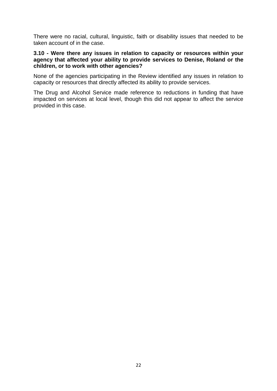There were no racial, cultural, linguistic, faith or disability issues that needed to be taken account of in the case.

#### **3.10 - Were there any issues in relation to capacity or resources within your agency that affected your ability to provide services to Denise, Roland or the children, or to work with other agencies?**

None of the agencies participating in the Review identified any issues in relation to capacity or resources that directly affected its ability to provide services.

The Drug and Alcohol Service made reference to reductions in funding that have impacted on services at local level, though this did not appear to affect the service provided in this case.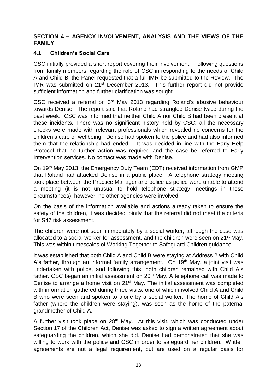#### **SECTION 4 – AGENCY INVOLVEMENT, ANALYSIS AND THE VIEWS OF THE FAMILY**

#### **4.1 Children's Social Care**

CSC initially provided a short report covering their involvement. Following questions from family members regarding the role of CSC in responding to the needs of Child A and Child B, the Panel requested that a full IMR be submitted to the Review. The IMR was submitted on 21st December 2013. This further report did not provide sufficient information and further clarification was sought.

CSC received a referral on 3rd May 2013 regarding Roland's abusive behaviour towards Denise. The report said that Roland had strangled Denise twice during the past week. CSC was informed that neither Child A nor Child B had been present at these incidents. There was no significant history held by CSC: all the necessary checks were made with relevant professionals which revealed no concerns for the children's care or wellbeing. Denise had spoken to the police and had also informed them that the relationship had ended. It was decided in line with the Early Help Protocol that no further action was required and the case be referred to Early Intervention services. No contact was made with Denise.

On 19th May 2013, the Emergency Duty Team (EDT) received information from GMP that Roland had attacked Denise in a public place. A telephone strategy meeting took place between the Practice Manager and police as police were unable to attend a meeting (it is not unusual to hold telephone strategy meetings in these circumstances), however, no other agencies were involved.

On the basis of the information available and actions already taken to ensure the safety of the children, it was decided jointly that the referral did not meet the criteria for S47 risk assessment.

The children were not seen immediately by a social worker, although the case was allocated to a social worker for assessment, and the children were seen on 21<sup>st</sup> May. This was within timescales of Working Together to Safeguard Children guidance.

It was established that both Child A and Child B were staying at Address 2 with Child A's father, through an informal family arrangement. On 19<sup>th</sup> May, a joint visit was undertaken with police, and following this, both children remained with Child A's father. CSC began an initial assessment on  $20<sup>th</sup>$  May. A telephone call was made to Denise to arrange a home visit on 21<sup>st</sup> May. The initial assessment was completed with information gathered during three visits, one of which involved Child A and Child B who were seen and spoken to alone by a social worker. The home of Child A's father (where the children were staying), was seen as the home of the paternal grandmother of Child A.

A further visit took place on 28<sup>th</sup> May. At this visit, which was conducted under Section 17 of the Children Act, Denise was asked to sign a written agreement about safeguarding the children, which she did. Denise had demonstrated that she was willing to work with the police and CSC in order to safeguard her children. Written agreements are not a legal requirement, but are used on a regular basis for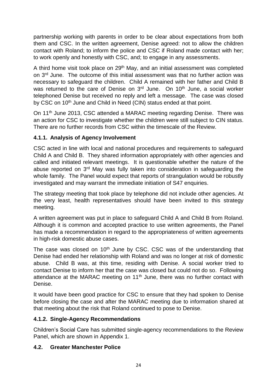partnership working with parents in order to be clear about expectations from both them and CSC. In the written agreement, Denise agreed: not to allow the children contact with Roland; to inform the police and CSC if Roland made contact with her; to work openly and honestly with CSC, and; to engage in any assessments.

A third home visit took place on 29<sup>th</sup> May, and an initial assessment was completed on 3rd June. The outcome of this initial assessment was that no further action was necessary to safeguard the children. Child A remained with her father and Child B was returned to the care of Denise on 3<sup>rd</sup> June. On 10<sup>th</sup> June, a social worker telephoned Denise but received no reply and left a message. The case was closed by CSC on 10<sup>th</sup> June and Child in Need (CIN) status ended at that point.

On 11<sup>th</sup> June 2013, CSC attended a MARAC meeting regarding Denise. There was an action for CSC to investigate whether the children were still subject to CIN status. There are no further records from CSC within the timescale of the Review.

## **4.1.1. Analysis of Agency Involvement**

CSC acted in line with local and national procedures and requirements to safeguard Child A and Child B. They shared information appropriately with other agencies and called and initiated relevant meetings. It is questionable whether the nature of the abuse reported on 3<sup>rd</sup> May was fully taken into consideration in safeguarding the whole family. The Panel would expect that reports of strangulation would be robustly investigated and may warrant the immediate initiation of S47 enquiries.

The strategy meeting that took place by telephone did not include other agencies. At the very least, health representatives should have been invited to this strategy meeting.

A written agreement was put in place to safeguard Child A and Child B from Roland. Although it is common and accepted practice to use written agreements, the Panel has made a recommendation in regard to the appropriateness of written agreements in high-risk domestic abuse cases.

The case was closed on 10<sup>th</sup> June by CSC. CSC was of the understanding that Denise had ended her relationship with Roland and was no longer at risk of domestic abuse. Child B was, at this time, residing with Denise. A social worker tried to contact Denise to inform her that the case was closed but could not do so. Following attendance at the MARAC meeting on  $11<sup>th</sup>$  June, there was no further contact with Denise.

It would have been good practice for CSC to ensure that they had spoken to Denise before closing the case and after the MARAC meeting due to information shared at that meeting about the risk that Roland continued to pose to Denise.

# **4.1.2. Single-Agency Recommendations**

Children's Social Care has submitted single-agency recommendations to the Review Panel, which are shown in Appendix 1.

# **4.2. Greater Manchester Police**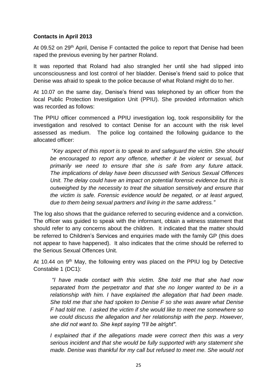#### **Contacts in April 2013**

At 09.52 on 29<sup>th</sup> April, Denise F contacted the police to report that Denise had been raped the previous evening by her partner Roland.

It was reported that Roland had also strangled her until she had slipped into unconsciousness and lost control of her bladder. Denise's friend said to police that Denise was afraid to speak to the police because of what Roland might do to her.

At 10.07 on the same day, Denise's friend was telephoned by an officer from the local Public Protection Investigation Unit (PPIU). She provided information which was recorded as follows:

The PPIU officer commenced a PPIU investigation log, took responsibility for the investigation and resolved to contact Denise for an account with the risk level assessed as medium. The police log contained the following guidance to the allocated officer:

"*Key aspect of this report is to speak to and safeguard the victim. She should be encouraged to report any offence, whether it be violent or sexual, but primarily we need to ensure that she is safe from any future attack. The implications of delay have been discussed with Serious Sexual Offences*  Unit. The delay could have an impact on potential forensic evidence but this is *outweighed by the necessity to treat the situation sensitively and ensure that the victim is safe. Forensic evidence would be negated, or at least argued, due to them being sexual partners and living in the same address."*

The log also shows that the guidance referred to securing evidence and a conviction. The officer was guided to speak with the informant, obtain a witness statement that should refer to any concerns about the children. It indicated that the matter should be referred to Children's Services and enquiries made with the family GP (this does not appear to have happened). It also indicates that the crime should be referred to the Serious Sexual Offences Unit.

At 10.44 on 9<sup>th</sup> May, the following entry was placed on the PPIU log by Detective Constable 1 (DC1):

*"I have made contact with this victim. She told me that she had now separated from the perpetrator and that she no longer wanted to be in a relationship with him. I have explained the allegation that had been made. She told me that she had spoken to Denise F so she was aware what Denise F had told me. I asked the victim if she would like to meet me somewhere so we could discuss the allegation and her relationship with the perp*. *However, she did not want to. She kept saying "I'll be alright".*

*I explained that if the allegations made were correct then this was a very serious incident and that she would be fully supported with any statement she made. Denise was thankful for my call but refused to meet me. She would not*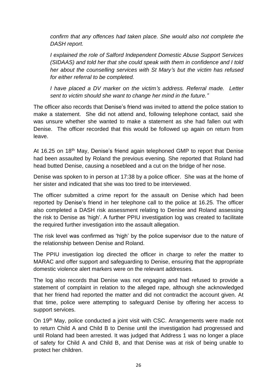*confirm that any offences had taken place. She would also not complete the DASH report.*

*I explained the role of Salford Independent Domestic Abuse Support Services (SIDAAS) and told her that she could speak with them in confidence and I told her about the counselling services with St Mary's but the victim has refused for either referral to be completed.*

*I have placed a DV marker on the victim's address. Referral made. Letter sent to victim should she want to change her mind in the future."*

The officer also records that Denise's friend was invited to attend the police station to make a statement. She did not attend and, following telephone contact, said she was unsure whether she wanted to make a statement as she had fallen out with Denise. The officer recorded that this would be followed up again on return from leave.

At 16.25 on 18<sup>th</sup> May, Denise's friend again telephoned GMP to report that Denise had been assaulted by Roland the previous evening. She reported that Roland had head butted Denise, causing a nosebleed and a cut on the bridge of her nose.

Denise was spoken to in person at 17:38 by a police officer. She was at the home of her sister and indicated that she was too tired to be interviewed.

The officer submitted a crime report for the assault on Denise which had been reported by Denise's friend in her telephone call to the police at 16.25. The officer also completed a DASH risk assessment relating to Denise and Roland assessing the risk to Denise as 'high'. A further PPIU investigation log was created to facilitate the required further investigation into the assault allegation.

The risk level was confirmed as 'high' by the police supervisor due to the nature of the relationship between Denise and Roland.

The PPIU investigation log directed the officer in charge to refer the matter to MARAC and offer support and safeguarding to Denise, ensuring that the appropriate domestic violence alert markers were on the relevant addresses.

The log also records that Denise was not engaging and had refused to provide a statement of complaint in relation to the alleged rape, although she acknowledged that her friend had reported the matter and did not contradict the account given. At that time, police were attempting to safeguard Denise by offering her access to support services.

On 19<sup>th</sup> May, police conducted a joint visit with CSC. Arrangements were made not to return Child A and Child B to Denise until the investigation had progressed and until Roland had been arrested. It was judged that Address 1 was no longer a place of safety for Child A and Child B, and that Denise was at risk of being unable to protect her children.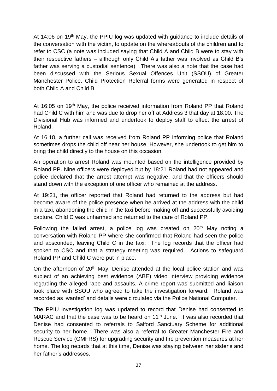At 14:06 on 19<sup>th</sup> May, the PPIU log was updated with guidance to include details of the conversation with the victim, to update on the whereabouts of the children and to refer to CSC (a note was included saying that Child A and Child B were to stay with their respective fathers – although only Child A's father was involved as Child B's father was serving a custodial sentence). There was also a note that the case had been discussed with the Serious Sexual Offences Unit (SSOU) of Greater Manchester Police. Child Protection Referral forms were generated in respect of both Child A and Child B.

At 16:05 on 19<sup>th</sup> May, the police received information from Roland PP that Roland had Child C with him and was due to drop her off at Address 3 that day at 18:00. The Divisional Hub was informed and undertook to deploy staff to effect the arrest of Roland.

At 16:18, a further call was received from Roland PP informing police that Roland sometimes drops the child off near her house. However, she undertook to get him to bring the child directly to the house on this occasion.

An operation to arrest Roland was mounted based on the intelligence provided by Roland PP. Nine officers were deployed but by 18:21 Roland had not appeared and police declared that the arrest attempt was negative, and that the officers should stand down with the exception of one officer who remained at the address.

At 19:21, the officer reported that Roland had returned to the address but had become aware of the police presence when he arrived at the address with the child in a taxi, abandoning the child in the taxi before making off and successfully avoiding capture. Child C was unharmed and returned to the care of Roland PP.

Following the failed arrest, a police log was created on  $20<sup>th</sup>$  May noting a conversation with Roland PP where she confirmed that Roland had seen the police and absconded, leaving Child C in the taxi. The log records that the officer had spoken to CSC and that a strategy meeting was required. Actions to safeguard Roland PP and Child C were put in place.

On the afternoon of 20<sup>th</sup> May, Denise attended at the local police station and was subject of an achieving best evidence (ABE) video interview providing evidence regarding the alleged rape and assaults. A crime report was submitted and liaison took place with SSOU who agreed to take the investigation forward. Roland was recorded as 'wanted' and details were circulated via the Police National Computer.

The PPIU investigation log was updated to record that Denise had consented to MARAC and that the case was to be heard on 11<sup>th</sup> June. It was also recorded that Denise had consented to referrals to Salford Sanctuary Scheme for additional security to her home. There was also a referral to Greater Manchester Fire and Rescue Service (GMFRS) for upgrading security and fire prevention measures at her home. The log records that at this time, Denise was staying between her sister's and her father's addresses.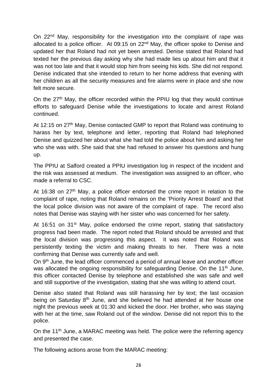On 22nd May, responsibility for the investigation into the complaint of rape was allocated to a police officer. At 09:15 on 22<sup>nd</sup> May, the officer spoke to Denise and updated her that Roland had not yet been arrested. Denise stated that Roland had texted her the previous day asking why she had made lies up about him and that it was not too late and that it would stop him from seeing his kids. She did not respond. Denise indicated that she intended to return to her home address that evening with her children as all the security measures and fire alarms were in place and she now felt more secure.

On the 27th May, the officer recorded within the PPIU log that they would continue efforts to safeguard Denise while the investigations to locate and arrest Roland continued.

At 12:15 on 27<sup>th</sup> May, Denise contacted GMP to report that Roland was continuing to harass her by text, telephone and letter, reporting that Roland had telephoned Denise and quizzed her about what she had told the police about him and asking her who she was with. She said that she had refused to answer his questions and hung up.

The PPIU at Salford created a PPIU investigation log in respect of the incident and the risk was assessed at medium. The investigation was assigned to an officer, who made a referral to CSC.

At 16:38 on  $27<sup>th</sup>$  May, a police officer endorsed the crime report in relation to the complaint of rape, noting that Roland remains on the 'Priority Arrest Board' and that the local police division was not aware of the complaint of rape. The record also notes that Denise was staying with her sister who was concerned for her safety.

At 16:51 on 31<sup>st</sup> May, police endorsed the crime report, stating that satisfactory progress had been made. The report noted that Roland should be arrested and that the local division was progressing this aspect. It was noted that Roland was persistently texting the victim and making threats to her. There was a note confirming that Denise was currently safe and well.

On 9<sup>th</sup> June, the lead officer commenced a period of annual leave and another officer was allocated the ongoing responsibility for safeguarding Denise. On the 11<sup>th</sup> June, this officer contacted Denise by telephone and established she was safe and well and still supportive of the investigation, stating that she was willing to attend court.

Denise also stated that Roland was still harassing her by text; the last occasion being on Saturday 8<sup>th</sup> June, and she believed he had attended at her house one night the previous week at 01:30 and kicked the door. Her brother, who was staying with her at the time, saw Roland out of the window. Denise did not report this to the police.

On the 11<sup>th</sup> June, a MARAC meeting was held. The police were the referring agency and presented the case.

The following actions arose from the MARAC meeting: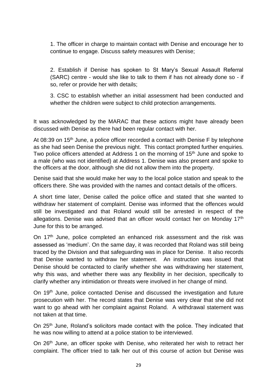1. The officer in charge to maintain contact with Denise and encourage her to continue to engage. Discuss safety measures with Denise;

2. Establish if Denise has spoken to St Mary's Sexual Assault Referral (SARC) centre - would she like to talk to them if has not already done so - if so, refer or provide her with details;

3. CSC to establish whether an initial assessment had been conducted and whether the children were subject to child protection arrangements.

It was acknowledged by the MARAC that these actions might have already been discussed with Denise as there had been regular contact with her.

At 08:39 on 15<sup>th</sup> June, a police officer recorded a contact with Denise F by telephone as she had seen Denise the previous night. This contact prompted further enquiries. Two police officers attended at Address 1 on the morning of 15<sup>th</sup> June and spoke to a male (who was not identified) at Address 1. Denise was also present and spoke to the officers at the door, although she did not allow them into the property.

Denise said that she would make her way to the local police station and speak to the officers there. She was provided with the names and contact details of the officers.

A short time later, Denise called the police office and stated that she wanted to withdraw her statement of complaint. Denise was informed that the offences would still be investigated and that Roland would still be arrested in respect of the allegations. Denise was advised that an officer would contact her on Monday 17<sup>th</sup> June for this to be arranged.

On 17<sup>th</sup> June, police completed an enhanced risk assessment and the risk was assessed as 'medium'. On the same day, it was recorded that Roland was still being traced by the Division and that safeguarding was in place for Denise. It also records that Denise wanted to withdraw her statement. An instruction was issued that Denise should be contacted to clarify whether she was withdrawing her statement, why this was, and whether there was any flexibility in her decision, specifically to clarify whether any intimidation or threats were involved in her change of mind.

On 19th June, police contacted Denise and discussed the investigation and future prosecution with her. The record states that Denise was very clear that she did not want to go ahead with her complaint against Roland. A withdrawal statement was not taken at that time.

On 25<sup>th</sup> June, Roland's solicitors made contact with the police. They indicated that he was now willing to attend at a police station to be interviewed.

On 26th June, an officer spoke with Denise, who reiterated her wish to retract her complaint. The officer tried to talk her out of this course of action but Denise was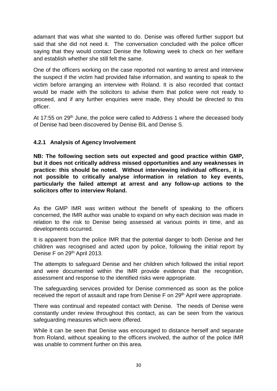adamant that was what she wanted to do. Denise was offered further support but said that she did not need it. The conversation concluded with the police officer saying that they would contact Denise the following week to check on her welfare and establish whether she still felt the same.

One of the officers working on the case reported not wanting to arrest and interview the suspect if the victim had provided false information, and wanting to speak to the victim before arranging an interview with Roland. It is also recorded that contact would be made with the solicitors to advise them that police were not ready to proceed, and if any further enquiries were made, they should be directed to this officer.

At 17:55 on 29<sup>th</sup> June, the police were called to Address 1 where the deceased body of Denise had been discovered by Denise BIL and Denise S.

## **4.2.1 Analysis of Agency Involvement**

**NB: The following section sets out expected and good practice within GMP, but it does not critically address missed opportunities and any weaknesses in practice: this should be noted. Without interviewing individual officers, it is not possible to critically analyse information in relation to key events, particularly the failed attempt at arrest and any follow-up actions to the solicitors offer to interview Roland.**

As the GMP IMR was written without the benefit of speaking to the officers concerned, the IMR author was unable to expand on why each decision was made in relation to the risk to Denise being assessed at various points in time, and as developments occurred.

It is apparent from the police IMR that the potential danger to both Denise and her children was recognised and acted upon by police, following the initial report by Denise F on 29<sup>th</sup> April 2013.

The attempts to safeguard Denise and her children which followed the initial report and were documented within the IMR provide evidence that the recognition, assessment and response to the identified risks were appropriate.

The safeguarding services provided for Denise commenced as soon as the police received the report of assault and rape from Denise F on 29<sup>th</sup> April were appropriate.

There was continual and repeated contact with Denise. The needs of Denise were constantly under review throughout this contact, as can be seen from the various safeguarding measures which were offered.

While it can be seen that Denise was encouraged to distance herself and separate from Roland, without speaking to the officers involved, the author of the police IMR was unable to comment further on this area.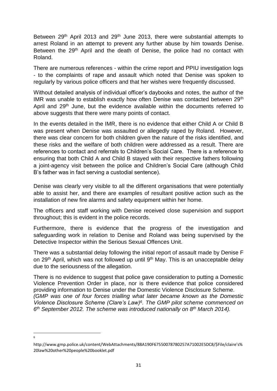Between 29<sup>th</sup> April 2013 and 29<sup>th</sup> June 2013, there were substantial attempts to arrest Roland in an attempt to prevent any further abuse by him towards Denise. Between the 29<sup>th</sup> April and the death of Denise, the police had no contact with Roland.

There are numerous references - within the crime report and PPIU investigation logs - to the complaints of rape and assault which noted that Denise was spoken to regularly by various police officers and that her wishes were frequently discussed.

Without detailed analysis of individual officer's daybooks and notes, the author of the IMR was unable to establish exactly how often Denise was contacted between 29<sup>th</sup> April and 29<sup>th</sup> June, but the evidence available within the documents referred to above suggests that there were many points of contact.

In the events detailed in the IMR, there is no evidence that either Child A or Child B was present when Denise was assaulted or allegedly raped by Roland. However, there was clear concern for both children given the nature of the risks identified, and these risks and the welfare of both children were addressed as a result. There are references to contact and referrals to Children's Social Care. There is a reference to ensuring that both Child A and Child B stayed with their respective fathers following a joint-agency visit between the police and Children's Social Care (although Child B's father was in fact serving a custodial sentence).

Denise was clearly very visible to all the different organisations that were potentially able to assist her, and there are examples of resultant positive action such as the installation of new fire alarms and safety equipment within her home.

The officers and staff working with Denise received close supervision and support throughout; this is evident in the police records.

Furthermore, there is evidence that the progress of the investigation and safeguarding work in relation to Denise and Roland was being supervised by the Detective Inspector within the Serious Sexual Offences Unit.

There was a substantial delay following the initial report of assault made by Denise F on 29<sup>th</sup> April, which was not followed up until 9<sup>th</sup> May. This is an unacceptable delay due to the seriousness of the allegation.

There is no evidence to suggest that police gave consideration to putting a Domestic Violence Prevention Order in place, nor is there evidence that police considered providing information to Denise under the Domestic Violence Disclosure Scheme. *(GMP was one of four forces trialling what later became known as the Domestic Violence Disclosure Scheme (Clare's Law)<sup>6</sup> . The GMP pilot scheme commenced on 6 th September 2012. The scheme was introduced nationally on 8th March 2014).*

**<sup>.</sup>** 6

http://www.gmp.police.uk/content/WebAttachments/88A190F67550078780257A71002E5DC8/\$File/claire's% 20law%20other%20people%20booklet.pdf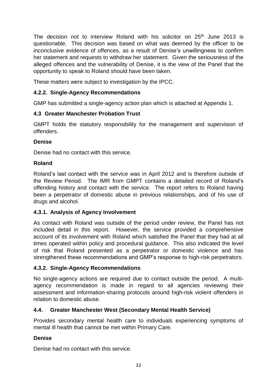The decision not to interview Roland with his solicitor on 25<sup>th</sup> June 2013 is questionable. This decision was based on what was deemed by the officer to be inconclusive evidence of offences, as a result of Denise's unwillingness to confirm her statement and requests to withdraw her statement. Given the seriousness of the alleged offences and the vulnerability of Denise, it is the view of the Panel that the opportunity to speak to Roland should have been taken.

These matters were subject to investigation by the IPCC.

# **4.2.2. Single-Agency Recommendations**

GMP has submitted a single-agency action plan which is attached at Appendix 1.

#### **4.3 Greater Manchester Probation Trust**

GMPT holds the statutory responsibility for the management and supervision of offenders.

#### **Denise**

Denise had no contact with this service.

#### **Roland**

Roland's last contact with the service was in April 2012 and is therefore outside of the Review Period. The IMR from GMPT contains a detailed record of Roland's offending history and contact with the service. The report refers to Roland having been a perpetrator of domestic abuse in previous relationships, and of his use of drugs and alcohol.

#### **4.3.1. Analysis of Agency Involvement**

As contact with Roland was outside of the period under review, the Panel has not included detail in this report. However, the service provided a comprehensive account of its involvement with Roland which satisfied the Panel that they had at all times operated within policy and procedural guidance. This also indicated the level of risk that Roland presented as a perpetrator or domestic violence and has strengthened these recommendations and GMP's response to high-risk perpetrators.

#### **4.3.2. Single-Agency Recommendations**

No single-agency actions are required due to contact outside the period. A multiagency recommendation is made in regard to all agencies reviewing their assessment and information-sharing protocols around high-risk violent offenders in relation to domestic abuse.

#### **4.4. Greater Manchester West (Secondary Mental Health Service)**

Provides secondary mental health care to individuals experiencing symptoms of mental ill health that cannot be met within Primary Care.

#### **Denise**

Denise had no contact with this service.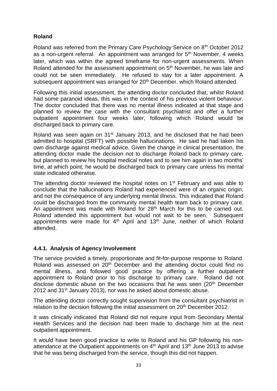# **Roland**

Roland was referred from the Primary Care Psychology Service on 8th October 2012 as a non-urgent referral. An appointment was arranged for  $5<sup>th</sup>$  November, 4 weeks later, which was within the agreed timeframe for non-urgent assessments. When Roland attended for the assessment appointment on 5<sup>th</sup> November, he was late and could not be seen immediately. He refused to stay for a later appointment. A subsequent appointment was arranged for 20<sup>th</sup> December, which Roland attended.

Following this initial assessment, the attending doctor concluded that, whilst Roland had some paranoid ideas, this was in the context of his previous violent behaviour. The doctor concluded that there was no mental illness indicated at that stage and planned to review the case with the consultant psychiatrist and offer a further outpatient appointment four weeks later, following which Roland would be discharged back to primary care.

Roland was seen again on 31<sup>st</sup> January 2013, and he disclosed that he had been admitted to hospital (SRFT) with possible hallucinations. He said he had taken his own discharge against medical advice. Given the change in clinical presentation, the attending doctor made the decision not to discharge Roland back to primary care, but planned to review his hospital medical notes and to see him again in two months' time, at which point, he would be discharged back to primary care unless his mental state indicated otherwise.

The attending doctor reviewed the hospital notes on 1<sup>st</sup> February and was able to conclude that the hallucinations Roland had experienced were of an organic origin, and not the consequence of any underlying mental illness. This indicated that Roland could be discharged from the community mental health team back to primary care. An appointment was made with Roland for 28<sup>th</sup> March for this to be carried out. Roland attended this appointment but would not wait to be seen. Subsequent appointments were made for  $4<sup>th</sup>$  April and  $13<sup>th</sup>$  June, neither of which Roland attended.

#### **4.4.1. Analysis of Agency Involvement**

The service provided a timely, proportionate and fit-for-purpose response to Roland. Roland was assessed on 20<sup>th</sup> December and the attending doctor could find no mental illness, and followed good practice by offering a further outpatient appointment to Roland prior to his discharge to primary care. Roland did not disclose domestic abuse on the two occasions that he was seen (20<sup>th</sup> December 2012 and  $31^{st}$  January 2013), nor was he asked about domestic abuse.

The attending doctor correctly sought supervision from the consultant psychiatrist in relation to the decision following the initial assessment on 20<sup>th</sup> December 2012.

It was clinically indicated that Roland did not require input from Secondary Mental Health Services and the decision had been made to discharge him at the next outpatient appointment.

It would have been good practice to write to Roland and his GP following his nonattendance at the Outpatient appointments on  $4<sup>th</sup>$  April and 13<sup>th</sup> June 2013 to advise that he was being discharged from the service, though this did not happen.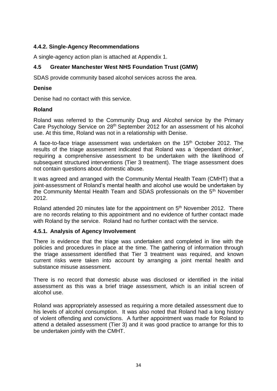## **4.4.2. Single-Agency Recommendations**

A single-agency action plan is attached at Appendix 1.

## **4.5 Greater Manchester West NHS Foundation Trust (GMW)**

SDAS provide community based alcohol services across the area.

#### **Denise**

Denise had no contact with this service.

#### **Roland**

Roland was referred to the Community Drug and Alcohol service by the Primary Care Psychology Service on 28th September 2012 for an assessment of his alcohol use. At this time, Roland was not in a relationship with Denise.

A face-to-face triage assessment was undertaken on the 15<sup>th</sup> October 2012. The results of the triage assessment indicated that Roland was a 'dependant drinker', requiring a comprehensive assessment to be undertaken with the likelihood of subsequent structured interventions (Tier 3 treatment). The triage assessment does not contain questions about domestic abuse.

It was agreed and arranged with the Community Mental Health Team (CMHT) that a joint-assessment of Roland's mental health and alcohol use would be undertaken by the Community Mental Health Team and SDAS professionals on the 5<sup>th</sup> November 2012.

Roland attended 20 minutes late for the appointment on 5<sup>th</sup> November 2012. There are no records relating to this appointment and no evidence of further contact made with Roland by the service. Roland had no further contact with the service.

#### **4.5.1. Analysis of Agency Involvement**

There is evidence that the triage was undertaken and completed in line with the policies and procedures in place at the time. The gathering of information through the triage assessment identified that Tier 3 treatment was required, and known current risks were taken into account by arranging a joint mental health and substance misuse assessment.

There is no record that domestic abuse was disclosed or identified in the initial assessment as this was a brief triage assessment, which is an initial screen of alcohol use.

Roland was appropriately assessed as requiring a more detailed assessment due to his levels of alcohol consumption. It was also noted that Roland had a long history of violent offending and convictions. A further appointment was made for Roland to attend a detailed assessment (Tier 3) and it was good practice to arrange for this to be undertaken jointly with the CMHT.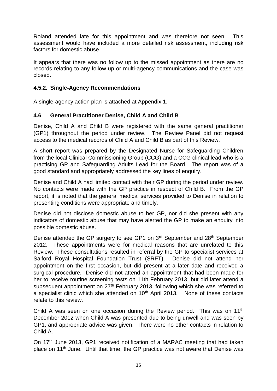Roland attended late for this appointment and was therefore not seen. This assessment would have included a more detailed risk assessment, including risk factors for domestic abuse.

It appears that there was no follow up to the missed appointment as there are no records relating to any follow up or multi-agency communications and the case was closed.

#### **4.5.2. Single-Agency Recommendations**

A single-agency action plan is attached at Appendix 1.

## **4.6 General Practitioner Denise, Child A and Child B**

Denise, Child A and Child B were registered with the same general practitioner (GP1) throughout the period under review. The Review Panel did not request access to the medical records of Child A and Child B as part of this Review.

A short report was prepared by the Designated Nurse for Safeguarding Children from the local Clinical Commissioning Group (CCG) and a CCG clinical lead who is a practising GP and Safeguarding Adults Lead for the Board. The report was of a good standard and appropriately addressed the key lines of enquiry.

Denise and Child A had limited contact with their GP during the period under review. No contacts were made with the GP practice in respect of Child B. From the GP report, it is noted that the general medical services provided to Denise in relation to presenting conditions were appropriate and timely.

Denise did not disclose domestic abuse to her GP, nor did she present with any indicators of domestic abuse that may have alerted the GP to make an enquiry into possible domestic abuse.

Denise attended the GP surgery to see GP1 on 3<sup>rd</sup> September and 28<sup>th</sup> September 2012. These appointments were for medical reasons that are unrelated to this Review. These consultations resulted in referral by the GP to specialist services at Salford Royal Hospital Foundation Trust (SRFT). Denise did not attend her appointment on the first occasion, but did present at a later date and received a surgical procedure. Denise did not attend an appointment that had been made for her to receive routine screening tests on 11th February 2013, but did later attend a subsequent appointment on 27<sup>th</sup> February 2013, following which she was referred to a specialist clinic which she attended on  $10<sup>th</sup>$  April 2013. None of these contacts relate to this review.

Child A was seen on one occasion during the Review period. This was on 11<sup>th</sup> December 2012 when Child A was presented due to being unwell and was seen by GP1, and appropriate advice was given. There were no other contacts in relation to Child A.

On 17<sup>th</sup> June 2013, GP1 received notification of a MARAC meeting that had taken place on 11<sup>th</sup> June. Until that time, the GP practice was not aware that Denise was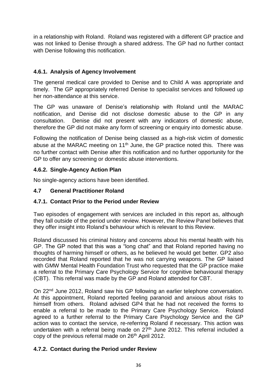in a relationship with Roland. Roland was registered with a different GP practice and was not linked to Denise through a shared address. The GP had no further contact with Denise following this notification.

# **4.6.1. Analysis of Agency Involvement**

The general medical care provided to Denise and to Child A was appropriate and timely. The GP appropriately referred Denise to specialist services and followed up her non-attendance at this service.

The GP was unaware of Denise's relationship with Roland until the MARAC notification, and Denise did not disclose domestic abuse to the GP in any consultation. Denise did not present with any indicators of domestic abuse, therefore the GP did not make any form of screening or enquiry into domestic abuse.

Following the notification of Denise being classed as a high-risk victim of domestic abuse at the MARAC meeting on 11<sup>th</sup> June, the GP practice noted this. There was no further contact with Denise after this notification and no further opportunity for the GP to offer any screening or domestic abuse interventions.

## **4.6.2. Single-Agency Action Plan**

No single-agency actions have been identified.

## **4.7 General Practitioner Roland**

# **4.7.1. Contact Prior to the Period under Review**

Two episodes of engagement with services are included in this report as, although they fall outside of the period under review. However, the Review Panel believes that they offer insight into Roland's behaviour which is relevant to this Review.

Roland discussed his criminal history and concerns about his mental health with his GP. The GP noted that this was a "long chat" and that Roland reported having no thoughts of harming himself or others, as he believed he would get better. GP2 also recorded that Roland reported that he was not carrying weapons. The GP liaised with GMW Mental Health Foundation Trust who requested that the GP practice make a referral to the Primary Care Psychology Service for cognitive behavioural therapy (CBT). This referral was made by the GP and Roland attended for CBT.

On 22<sup>nd</sup> June 2012, Roland saw his GP following an earlier telephone conversation. At this appointment, Roland reported feeling paranoid and anxious about risks to himself from others. Roland advised GP4 that he had not received the forms to enable a referral to be made to the Primary Care Psychology Service. Roland agreed to a further referral to the Primary Care Psychology Service and the GP action was to contact the service, re-referring Roland if necessary. This action was undertaken with a referral being made on 27<sup>th</sup> June 2012. This referral included a copy of the previous referral made on 26<sup>th</sup> April 2012.

#### **4.7.2. Contact during the Period under Review**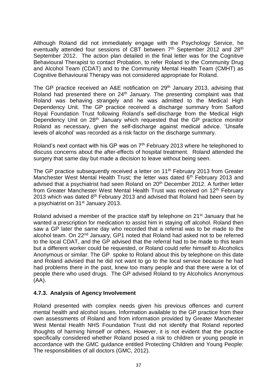Although Roland did not immediately engage with the Psychology Service, he eventually attended four sessions of CBT between 7<sup>th</sup> September 2012 and 28<sup>th</sup> September 2012. The action plan detailed in the final letter was for the Cognitive Behavioural Therapist to contact Probation, to refer Roland to the Community Drug and Alcohol Team (CDAT) and to the Community Mental Health Team (CMHT) as Cognitive Behavioural Therapy was not considered appropriate for Roland.

The GP practice received an A&E notification on 29<sup>th</sup> January 2013, advising that Roland had presented there on 24<sup>th</sup> January. The presenting complaint was that Roland was behaving strangely and he was admitted to the Medical High Dependency Unit. The GP practice received a discharge summary from Salford Royal Foundation Trust following Roland's self-discharge from the Medical High Dependency Unit on 28<sup>th</sup> January which requested that the GP practice monitor Roland as necessary, given the self-discharge against medical advice. 'Unsafe levels of alcohol' was recorded as a risk factor on the discharge summary.

Roland's next contact with his GP was on  $7<sup>th</sup>$  February 2013 where he telephoned to discuss concerns about the after-effects of hospital treatment. Roland attended the surgery that same day but made a decision to leave without being seen.

The GP practice subsequently received a letter on 11<sup>th</sup> February 2013 from Greater Manchester West Mental Health Trust; the letter was dated 6<sup>th</sup> February 2013 and advised that a psychiatrist had seen Roland on 20<sup>th</sup> December 2012. A further letter from Greater Manchester West Mental Health Trust was received on 12<sup>th</sup> February 2013 which was dated  $8<sup>th</sup>$  February 2013 and advised that Roland had been seen by a psychiatrist on 31<sup>st</sup> January 2013.

Roland advised a member of the practice staff by telephone on 21st January that he wanted a prescription for medication to assist him in staying off alcohol. Roland then saw a GP later the same day who recorded that a referral was to be made to the alcohol team. On 22<sup>nd</sup> January, GP1 noted that Roland had asked not to be referred to the local CDAT, and the GP advised that the referral had to be made to this team but a different worker could be requested, or Roland could refer himself to Alcoholics Anonymous or similar. The GP spoke to Roland about this by telephone on this date and Roland advised that he did not want to go to the local service because he had had problems there in the past, knew too many people and that there were a lot of people there who used drugs. The GP advised Roland to try Alcoholics Anonymous (AA).

#### **4.7.3. Analysis of Agency Involvement**

Roland presented with complex needs given his previous offences and current mental health and alcohol issues. Information available to the GP practice from their own assessments of Roland and from information provided by Greater Manchester West Mental Health NHS Foundation Trust did not identify that Roland reported thoughts of harming himself or others. However, it is not evident that the practice specifically considered whether Roland posed a risk to children or young people in accordance with the GMC guidance entitled Protecting Children and Young People: The responsibilities of all doctors (GMC, 2012).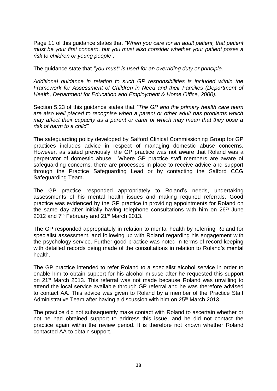Page 11 of this guidance states that *"When you care for an adult patient, that patient must be your first concern, but you must also consider whether your patient poses a risk to children or young people".* 

The guidance state that *"you must" is used for an overriding duty or principle.*

*Additional guidance in relation to such GP responsibilities is included within the Framework for Assessment of Children in Need and their Families (Department of Health, Department for Education and Employment & Home Office, 2000).*

Section 5.23 of this guidance states that *"The GP and the primary health care team are also well placed to recognise when a parent or other adult has problems which may affect their capacity as a parent or carer or which may mean that they pose a risk of harm to a child".* 

The safeguarding policy developed by Salford Clinical Commissioning Group for GP practices includes advice in respect of managing domestic abuse concerns. However, as stated previously, the GP practice was not aware that Roland was a perpetrator of domestic abuse. Where GP practice staff members are aware of safeguarding concerns, there are processes in place to receive advice and support through the Practice Safeguarding Lead or by contacting the Salford CCG Safeguarding Team.

The GP practice responded appropriately to Roland's needs, undertaking assessments of his mental health issues and making required referrals. Good practice was evidenced by the GP practice in providing appointments for Roland on the same day after initially having telephone consultations with him on  $26<sup>th</sup>$  June 2012 and  $7<sup>th</sup>$  February and 21<sup>st</sup> March 2013.

The GP responded appropriately in relation to mental health by referring Roland for specialist assessment, and following up with Roland regarding his engagement with the psychology service. Further good practice was noted in terms of record keeping with detailed records being made of the consultations in relation to Roland's mental health.

The GP practice intended to refer Roland to a specialist alcohol service in order to enable him to obtain support for his alcohol misuse after he requested this support on 21st March 2013. This referral was not made because Roland was unwilling to attend the local service available through GP referral and he was therefore advised to contact AA. This advice was given to Roland by a member of the Practice Staff Administrative Team after having a discussion with him on 25<sup>th</sup> March 2013.

The practice did not subsequently make contact with Roland to ascertain whether or not he had obtained support to address this issue, and he did not contact the practice again within the review period. It is therefore not known whether Roland contacted AA to obtain support.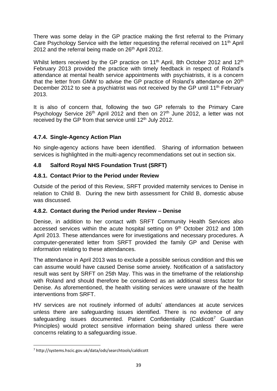There was some delay in the GP practice making the first referral to the Primary Care Psychology Service with the letter requesting the referral received on 11<sup>th</sup> April 2012 and the referral being made on 26<sup>th</sup> April 2012.

Whilst letters received by the GP practice on 11<sup>th</sup> April, 8th October 2012 and 12<sup>th</sup> February 2013 provided the practice with timely feedback in respect of Roland's attendance at mental health service appointments with psychiatrists, it is a concern that the letter from GMW to advise the GP practice of Roland's attendance on 20<sup>th</sup> December 2012 to see a psychiatrist was not received by the GP until 11<sup>th</sup> February 2013.

It is also of concern that, following the two GP referrals to the Primary Care Psychology Service 26<sup>th</sup> April 2012 and then on 27<sup>th</sup> June 2012, a letter was not received by the GP from that service until 12<sup>th</sup> July 2012.

# **4.7.4. Single-Agency Action Plan**

No single-agency actions have been identified. Sharing of information between services is highlighted in the multi-agency recommendations set out in section six.

## **4.8 Salford Royal NHS Foundation Trust (SRFT)**

## **4.8.1. Contact Prior to the Period under Review**

Outside of the period of this Review, SRFT provided maternity services to Denise in relation to Child B. During the new birth assessment for Child B, domestic abuse was discussed.

#### **4.8.2. Contact during the Period under Review – Denise**

Denise, in addition to her contact with SRFT Community Health Services also accessed services within the acute hospital setting on 9<sup>th</sup> October 2012 and 10th April 2013. These attendances were for investigations and necessary procedures. A computer-generated letter from SRFT provided the family GP and Denise with information relating to these attendances.

The attendance in April 2013 was to exclude a possible serious condition and this we can assume would have caused Denise some anxiety. Notification of a satisfactory result was sent by SRFT on 25th May. This was in the timeframe of the relationship with Roland and should therefore be considered as an additional stress factor for Denise. As aforementioned, the health visiting services were unaware of the health interventions from SRFT.

HV services are not routinely informed of adults' attendances at acute services unless there are safeguarding issues identified. There is no evidence of any safeguarding issues documented. Patient Confidentiality (Caldicott<sup>7</sup> Guardian Principles) would protect sensitive information being shared unless there were concerns relating to a safeguarding issue.

**<sup>.</sup>** <sup>7</sup> http://systems.hscic.gov.uk/data/ods/searchtools/caldicott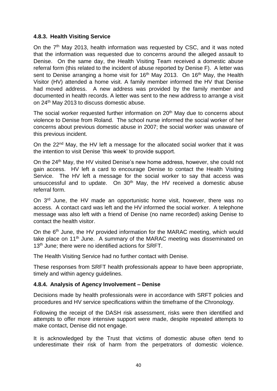#### **4.8.3. Health Visiting Service**

On the 7<sup>th</sup> May 2013, health information was requested by CSC, and it was noted that the information was requested due to concerns around the alleged assault to Denise. On the same day, the Health Visiting Team received a domestic abuse referral form (this related to the incident of abuse reported by Denise F). A letter was sent to Denise arranging a home visit for  $16<sup>th</sup>$  May 2013. On  $16<sup>th</sup>$  May, the Health Visitor (HV) attended a home visit. A family member informed the HV that Denise had moved address. A new address was provided by the family member and documented in health records. A letter was sent to the new address to arrange a visit on 24th May 2013 to discuss domestic abuse.

The social worker requested further information on 20<sup>th</sup> May due to concerns about violence to Denise from Roland. The school nurse informed the social worker of her concerns about previous domestic abuse in 2007; the social worker was unaware of this previous incident.

On the 22<sup>nd</sup> May, the HV left a message for the allocated social worker that it was the intention to visit Denise 'this week' to provide support.

On the 24th May, the HV visited Denise's new home address, however, she could not gain access. HV left a card to encourage Denise to contact the Health Visiting Service. The HV left a message for the social worker to say that access was unsuccessful and to update. On  $30<sup>th</sup>$  May, the HV received a domestic abuse referral form.

On 3<sup>rd</sup> June, the HV made an opportunistic home visit, however, there was no access. A contact card was left and the HV informed the social worker. A telephone message was also left with a friend of Denise (no name recorded) asking Denise to contact the health visitor.

On the 6<sup>th</sup> June, the HV provided information for the MARAC meeting, which would take place on 11<sup>th</sup> June. A summary of the MARAC meeting was disseminated on 13<sup>th</sup> June; there were no identified actions for SRFT.

The Health Visiting Service had no further contact with Denise.

These responses from SRFT health professionals appear to have been appropriate, timely and within agency guidelines.

#### **4.8.4. Analysis of Agency Involvement – Denise**

Decisions made by health professionals were in accordance with SRFT policies and procedures and HV service specifications within the timeframe of the Chronology.

Following the receipt of the DASH risk assessment, risks were then identified and attempts to offer more intensive support were made, despite repeated attempts to make contact, Denise did not engage.

It is acknowledged by the Trust that victims of domestic abuse often tend to underestimate their risk of harm from the perpetrators of domestic violence.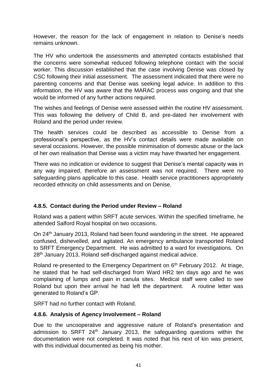However, the reason for the lack of engagement in relation to Denise's needs remains unknown.

The HV who undertook the assessments and attempted contacts established that the concerns were somewhat reduced following telephone contact with the social worker. This discussion established that the case involving Denise was closed by CSC following their initial assessment. The assessment indicated that there were no parenting concerns and that Denise was seeking legal advice. In addition to this information, the HV was aware that the MARAC process was ongoing and that she would be informed of any further actions required.

The wishes and feelings of Denise were assessed within the routine HV assessment. This was following the delivery of Child B, and pre-dated her involvement with Roland and the period under review.

The health services could be described as accessible to Denise from a professional's perspective, as the HV's contact details were made available on several occasions. However, the possible minimisation of domestic abuse or the lack of her own realisation that Denise was a victim may have thwarted her engagement.

There was no indication or evidence to suggest that Denise's mental capacity was in any way impaired, therefore an assessment was not required. There were no safeguarding plans applicable to this case. Health service practitioners appropriately recorded ethnicity on child assessments and on Denise.

# **4.8.5. Contact during the Period under Review – Roland**

Roland was a patient within SRFT acute services. Within the specified timeframe, he attended Salford Royal hospital on two occasions.

On 24th January 2013, Roland had been found wandering in the street. He appeared confused, dishevelled, and agitated. An emergency ambulance transported Roland to SRFT Emergency Department. He was admitted to a ward for investigations. On 28th January 2013, Roland self-discharged against medical advice.

Roland re-presented to the Emergency Department on 6<sup>th</sup> February 2012. At triage, he stated that he had self-discharged from Ward HR2 ten days ago and he was complaining of lumps and pain in canula sites. Medical staff were called to see Roland but upon their arrival he had left the department. A routine letter was generated to Roland's GP.

SRFT had no further contact with Roland.

#### **4.8.6. Analysis of Agency Involvement – Roland**

Due to the uncooperative and aggressive nature of Roland's presentation and admission to SRFT 24<sup>th</sup> January 2013, the safeguarding questions within the documentation were not completed. It was noted that his next of kin was present, with this individual documented as being his mother.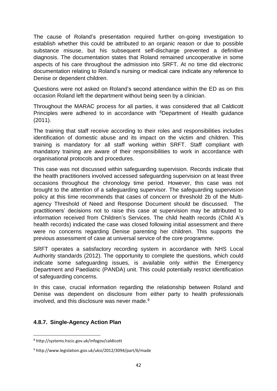The cause of Roland's presentation required further on-going investigation to establish whether this could be attributed to an organic reason or due to possible substance misuse, but his subsequent self-discharge prevented a definitive diagnosis. The documentation states that Roland remained uncooperative in some aspects of his care throughout the admission into SRFT. At no time did electronic documentation relating to Roland's nursing or medical care indicate any reference to Denise or dependent children.

Questions were not asked on Roland's second attendance within the ED as on this occasion Roland left the department without being seen by a clinician.

Throughout the MARAC process for all parties, it was considered that all Caldicott Principles were adhered to in accordance with <sup>8</sup>Department of Health guidance (2011).

The training that staff receive according to their roles and responsibilities includes identification of domestic abuse and its impact on the victim and children. This training is mandatory for all staff working within SRFT. Staff compliant with mandatory training are aware of their responsibilities to work in accordance with organisational protocols and procedures.

This case was not discussed within safeguarding supervision. Records indicate that the health practitioners involved accessed safeguarding supervision on at least three occasions throughout the chronology time period. However, this case was not brought to the attention of a safeguarding supervisor. The safeguarding supervision policy at this time recommends that cases of concern or threshold 2b of the Multiagency Threshold of Need and Response Document should be discussed. The practitioners' decisions not to raise this case at supervision may be attributed to information received from Children's Services. The child health records (Child A's health records) indicated the case was closed following initial assessment and there were no concerns regarding Denise parenting her children. This supports the previous assessment of case at universal service of the core programme.

SRFT operates a satisfactory recording system in accordance with NHS Local Authority standards (2012). The opportunity to complete the questions, which could indicate some safeguarding issues, is available only within the Emergency Department and Paediatric (PANDA) unit. This could potentially restrict identification of safeguarding concerns.

In this case, crucial information regarding the relationship between Roland and Denise was dependent on disclosure from either party to health professionals involved, and this disclosure was never made.<sup>9</sup>

#### **4.8.7. Single-Agency Action Plan**

<sup>1</sup> <sup>8</sup> http://systems.hscic.gov.uk/infogov/caldicott

<sup>9</sup> http://www.legislation.gov.uk/uksi/2012/3094/part/6/made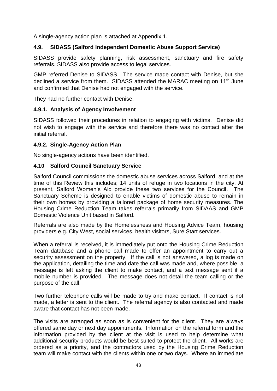A single-agency action plan is attached at Appendix 1.

#### **4.9. SIDASS (Salford Independent Domestic Abuse Support Service)**

SIDASS provide safety planning, risk assessment, sanctuary and fire safety referrals. SIDASS also provide access to legal services.

GMP referred Denise to SIDASS. The service made contact with Denise, but she declined a service from them. SIDASS attended the MARAC meeting on 11<sup>th</sup> June and confirmed that Denise had not engaged with the service.

They had no further contact with Denise.

#### **4.9.1. Analysis of Agency Involvement**

SIDASS followed their procedures in relation to engaging with victims. Denise did not wish to engage with the service and therefore there was no contact after the initial referral.

#### **4.9.2. Single-Agency Action Plan**

No single-agency actions have been identified.

#### **4.10 Salford Council Sanctuary Service**

Salford Council commissions the domestic abuse services across Salford, and at the time of this Review this includes; 14 units of refuge in two locations in the city. At present, Salford Women's Aid provide these two services for the Council. The Sanctuary Scheme is designed to enable victims of domestic abuse to remain in their own homes by providing a tailored package of home security measures. The Housing Crime Reduction Team takes referrals primarily from SIDAAS and GMP Domestic Violence Unit based in Salford.

Referrals are also made by the Homelessness and Housing Advice Team, housing providers e.g. City West, social services, health visitors, Sure Start services.

When a referral is received, it is immediately put onto the Housing Crime Reduction Team database and a phone call made to offer an appointment to carry out a security assessment on the property. If the call is not answered, a log is made on the application, detailing the time and date the call was made and, where possible, a message is left asking the client to make contact, and a text message sent if a mobile number is provided. The message does not detail the team calling or the purpose of the call.

Two further telephone calls will be made to try and make contact. If contact is not made, a letter is sent to the client. The referral agency is also contacted and made aware that contact has not been made.

The visits are arranged as soon as is convenient for the client. They are always offered same day or next day appointments. Information on the referral form and the information provided by the client at the visit is used to help determine what additional security products would be best suited to protect the client. All works are ordered as a priority, and the contractors used by the Housing Crime Reduction team will make contact with the clients within one or two days. Where an immediate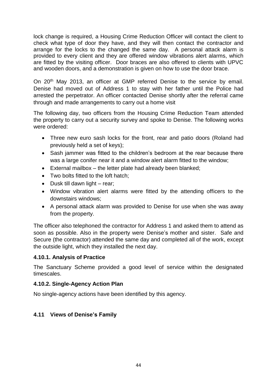lock change is required, a Housing Crime Reduction Officer will contact the client to check what type of door they have, and they will then contact the contractor and arrange for the locks to the changed the same day. A personal attack alarm is provided to every client and they are offered window vibrations alert alarms, which are fitted by the visiting officer. Door braces are also offered to clients with UPVC and wooden doors, and a demonstration is given on how to use the door brace.

On 20<sup>th</sup> May 2013, an officer at GMP referred Denise to the service by email. Denise had moved out of Address 1 to stay with her father until the Police had arrested the perpetrator. An officer contacted Denise shortly after the referral came through and made arrangements to carry out a home visit

The following day, two officers from the Housing Crime Reduction Team attended the property to carry out a security survey and spoke to Denise. The following works were ordered:

- Three new euro sash locks for the front, rear and patio doors (Roland had previously held a set of keys);
- Sash jammer was fitted to the children's bedroom at the rear because there was a large conifer near it and a window alert alarm fitted to the window;
- External mailbox the letter plate had already been blanked;
- Two bolts fitted to the loft hatch;
- $\bullet$  Dusk till dawn light rear;
- Window vibration alert alarms were fitted by the attending officers to the downstairs windows;
- A personal attack alarm was provided to Denise for use when she was away from the property.

The officer also telephoned the contractor for Address 1 and asked them to attend as soon as possible. Also in the property were Denise's mother and sister. Safe and Secure (the contractor) attended the same day and completed all of the work, except the outside light, which they installed the next day.

#### **4.10.1. Analysis of Practice**

The Sanctuary Scheme provided a good level of service within the designated timescales.

#### **4.10.2. Single-Agency Action Plan**

No single-agency actions have been identified by this agency.

# **4.11 Views of Denise's Family**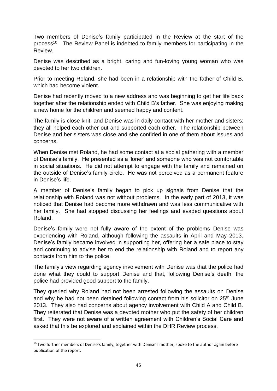Two members of Denise's family participated in the Review at the start of the process<sup>10</sup>. The Review Panel is indebted to family members for participating in the Review.

Denise was described as a bright, caring and fun-loving young woman who was devoted to her two children.

Prior to meeting Roland, she had been in a relationship with the father of Child B, which had become violent.

Denise had recently moved to a new address and was beginning to get her life back together after the relationship ended with Child B's father. She was enjoying making a new home for the children and seemed happy and content.

The family is close knit, and Denise was in daily contact with her mother and sisters: they all helped each other out and supported each other. The relationship between Denise and her sisters was close and she confided in one of them about issues and concerns.

When Denise met Roland, he had some contact at a social gathering with a member of Denise's family. He presented as a 'loner' and someone who was not comfortable in social situations. He did not attempt to engage with the family and remained on the outside of Denise's family circle. He was not perceived as a permanent feature in Denise's life.

A member of Denise's family began to pick up signals from Denise that the relationship with Roland was not without problems. In the early part of 2013, it was noticed that Denise had become more withdrawn and was less communicative with her family. She had stopped discussing her feelings and evaded questions about Roland.

Denise's family were not fully aware of the extent of the problems Denise was experiencing with Roland, although following the assaults in April and May 2013, Denise's family became involved in supporting her, offering her a safe place to stay and continuing to advise her to end the relationship with Roland and to report any contacts from him to the police.

The family's view regarding agency involvement with Denise was that the police had done what they could to support Denise and that, following Denise's death, the police had provided good support to the family.

They queried why Roland had not been arrested following the assaults on Denise and why he had not been detained following contact from his solicitor on 25<sup>th</sup> June 2013. They also had concerns about agency involvement with Child A and Child B. They reiterated that Denise was a devoted mother who put the safety of her children first. They were not aware of a written agreement with Children's Social Care and asked that this be explored and explained within the DHR Review process.

**.** 

<sup>&</sup>lt;sup>10</sup> Two further members of Denise's family, together with Denise's mother, spoke to the author again before publication of the report.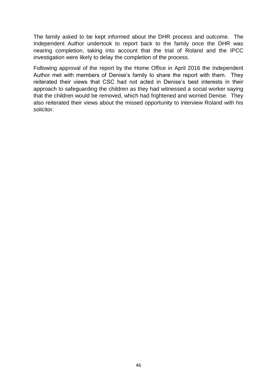The family asked to be kept informed about the DHR process and outcome. The Independent Author undertook to report back to the family once the DHR was nearing completion, taking into account that the trial of Roland and the IPCC investigation were likely to delay the completion of the process.

Following approval of the report by the Home Office in April 2016 the Independent Author met with members of Denise's family to share the report with them. They reiterated their views that CSC had not acted in Denise's best interests in their approach to safeguarding the children as they had witnessed a social worker saying that the children would be removed, which had frightened and worried Denise. They also reiterated their views about the missed opportunity to interview Roland with his solicitor.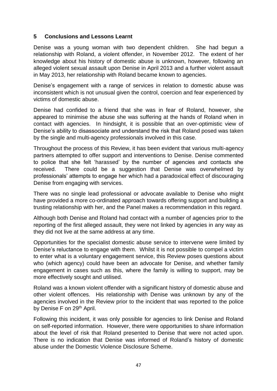#### **5 Conclusions and Lessons Learnt**

Denise was a young woman with two dependent children. She had begun a relationship with Roland, a violent offender, in November 2012. The extent of her knowledge about his history of domestic abuse is unknown, however, following an alleged violent sexual assault upon Denise in April 2013 and a further violent assault in May 2013, her relationship with Roland became known to agencies.

Denise's engagement with a range of services in relation to domestic abuse was inconsistent which is not unusual given the control, coercion and fear experienced by victims of domestic abuse.

Denise had confided to a friend that she was in fear of Roland, however, she appeared to minimise the abuse she was suffering at the hands of Roland when in contact with agencies. In hindsight, it is possible that an over-optimistic view of Denise's ability to disassociate and understand the risk that Roland posed was taken by the single and multi-agency professionals involved in this case.

Throughout the process of this Review, it has been evident that various multi-agency partners attempted to offer support and interventions to Denise. Denise commented to police that she felt 'harassed' by the number of agencies and contacts she received. There could be a suggestion that Denise was overwhelmed by professionals' attempts to engage her which had a paradoxical effect of discouraging Denise from engaging with services.

There was no single lead professional or advocate available to Denise who might have provided a more co-ordinated approach towards offering support and building a trusting relationship with her, and the Panel makes a recommendation in this regard.

Although both Denise and Roland had contact with a number of agencies prior to the reporting of the first alleged assault, they were not linked by agencies in any way as they did not live at the same address at any time.

Opportunities for the specialist domestic abuse service to intervene were limited by Denise's reluctance to engage with them. Whilst it is not possible to compel a victim to enter what is a voluntary engagement service, this Review poses questions about who (which agency) could have been an advocate for Denise, and whether family engagement in cases such as this, where the family is willing to support, may be more effectively sought and utilised.

Roland was a known violent offender with a significant history of domestic abuse and other violent offences. His relationship with Denise was unknown by any of the agencies involved in the Review prior to the incident that was reported to the police by Denise F on 29<sup>th</sup> April.

Following this incident, it was only possible for agencies to link Denise and Roland on self-reported information. However, there were opportunities to share information about the level of risk that Roland presented to Denise that were not acted upon. There is no indication that Denise was informed of Roland's history of domestic abuse under the Domestic Violence Disclosure Scheme.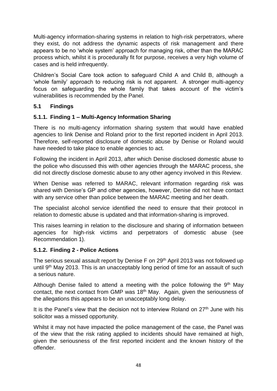Multi-agency information-sharing systems in relation to high-risk perpetrators, where they exist, do not address the dynamic aspects of risk management and there appears to be no 'whole system' approach for managing risk, other than the MARAC process which, whilst it is procedurally fit for purpose, receives a very high volume of cases and is held infrequently.

Children's Social Care took action to safeguard Child A and Child B, although a 'whole family' approach to reducing risk is not apparent. A stronger multi-agency focus on safeguarding the whole family that takes account of the victim's vulnerabilities is recommended by the Panel.

## **5.1 Findings**

#### **5.1.1. Finding 1 – Multi-Agency Information Sharing**

There is no multi-agency information sharing system that would have enabled agencies to link Denise and Roland prior to the first reported incident in April 2013. Therefore, self-reported disclosure of domestic abuse by Denise or Roland would have needed to take place to enable agencies to act.

Following the incident in April 2013, after which Denise disclosed domestic abuse to the police who discussed this with other agencies through the MARAC process, she did not directly disclose domestic abuse to any other agency involved in this Review.

When Denise was referred to MARAC, relevant information regarding risk was shared with Denise's GP and other agencies, however, Denise did not have contact with any service other than police between the MARAC meeting and her death.

The specialist alcohol service identified the need to ensure that their protocol in relation to domestic abuse is updated and that information-sharing is improved.

This raises learning in relation to the disclosure and sharing of information between agencies for high-risk victims and perpetrators of domestic abuse (see Recommendation 1).

#### **5.1.2. Finding 2 - Police Actions**

The serious sexual assault report by Denise F on 29<sup>th</sup> April 2013 was not followed up until  $9<sup>th</sup>$  May 2013. This is an unacceptably long period of time for an assault of such a serious nature.

Although Denise failed to attend a meeting with the police following the  $9<sup>th</sup>$  May contact, the next contact from GMP was 18<sup>th</sup> May. Again, given the seriousness of the allegations this appears to be an unacceptably long delay.

It is the Panel's view that the decision not to interview Roland on  $27<sup>th</sup>$  June with his solicitor was a missed opportunity.

Whilst it may not have impacted the police management of the case, the Panel was of the view that the risk rating applied to incidents should have remained at high, given the seriousness of the first reported incident and the known history of the offender.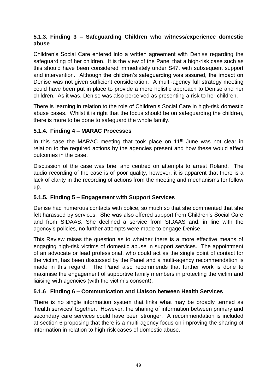# **5.1.3. Finding 3 – Safeguarding Children who witness/experience domestic abuse**

Children's Social Care entered into a written agreement with Denise regarding the safeguarding of her children. It is the view of the Panel that a high-risk case such as this should have been considered immediately under S47, with subsequent support and intervention. Although the children's safeguarding was assured, the impact on Denise was not given sufficient consideration. A multi-agency full strategy meeting could have been put in place to provide a more holistic approach to Denise and her children. As it was, Denise was also perceived as presenting a risk to her children.

There is learning in relation to the role of Children's Social Care in high-risk domestic abuse cases. Whilst it is right that the focus should be on safeguarding the children, there is more to be done to safeguard the whole family.

## **5.1.4. Finding 4 – MARAC Processes**

In this case the MARAC meeting that took place on  $11<sup>th</sup>$  June was not clear in relation to the required actions by the agencies present and how these would affect outcomes in the case.

Discussion of the case was brief and centred on attempts to arrest Roland. The audio recording of the case is of poor quality, however, it is apparent that there is a lack of clarity in the recording of actions from the meeting and mechanisms for follow up.

# **5.1.5. Finding 5 – Engagement with Support Services**

Denise had numerous contacts with police, so much so that she commented that she felt harassed by services. She was also offered support from Children's Social Care and from SIDAAS. She declined a service from SIDAAS and, in line with the agency's policies, no further attempts were made to engage Denise.

This Review raises the question as to whether there is a more effective means of engaging high-risk victims of domestic abuse in support services. The appointment of an advocate or lead professional, who could act as the single point of contact for the victim, has been discussed by the Panel and a multi-agency recommendation is made in this regard. The Panel also recommends that further work is done to maximise the engagement of supportive family members in protecting the victim and liaising with agencies (with the victim's consent).

# **5.1.6 Finding 6 – Communication and Liaison between Health Services**

There is no single information system that links what may be broadly termed as 'health services' together. However, the sharing of information between primary and secondary care services could have been stronger. A recommendation is included at section 6 proposing that there is a multi-agency focus on improving the sharing of information in relation to high-risk cases of domestic abuse.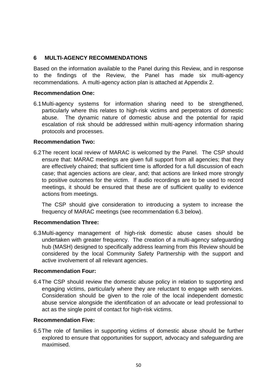#### **6 MULTI-AGENCY RECOMMENDATIONS**

Based on the information available to the Panel during this Review, and in response to the findings of the Review, the Panel has made six multi-agency recommendations. A multi-agency action plan is attached at Appendix 2.

#### **Recommendation One:**

6.1 Multi-agency systems for information sharing need to be strengthened, particularly where this relates to high-risk victims and perpetrators of domestic abuse. The dynamic nature of domestic abuse and the potential for rapid escalation of risk should be addressed within multi-agency information sharing protocols and processes.

#### **Recommendation Two:**

6.2 The recent local review of MARAC is welcomed by the Panel. The CSP should ensure that: MARAC meetings are given full support from all agencies; that they are effectively chaired; that sufficient time is afforded for a full discussion of each case; that agencies actions are clear, and; that actions are linked more strongly to positive outcomes for the victim. If audio recordings are to be used to record meetings, it should be ensured that these are of sufficient quality to evidence actions from meetings.

The CSP should give consideration to introducing a system to increase the frequency of MARAC meetings (see recommendation 6.3 below).

#### **Recommendation Three:**

6.3 Multi-agency management of high-risk domestic abuse cases should be undertaken with greater frequency. The creation of a multi-agency safeguarding hub (MASH) designed to specifically address learning from this Review should be considered by the local Community Safety Partnership with the support and active involvement of all relevant agencies.

#### **Recommendation Four:**

6.4 The CSP should review the domestic abuse policy in relation to supporting and engaging victims, particularly where they are reluctant to engage with services. Consideration should be given to the role of the local independent domestic abuse service alongside the identification of an advocate or lead professional to act as the single point of contact for high-risk victims.

#### **Recommendation Five:**

6.5 The role of families in supporting victims of domestic abuse should be further explored to ensure that opportunities for support, advocacy and safeguarding are maximised.